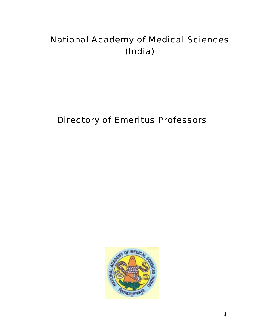# National Academy of Medical Sciences (India)

# Directory of Emeritus Professors

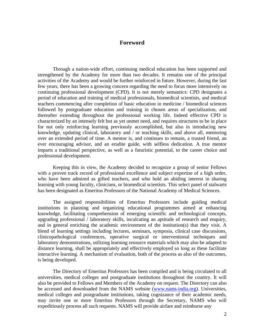### **Foreword**

Through a nation-wide effort, continuing medical education has been supported and strengthened by the Academy for more than two decades. It remains one of the principal activities of the Academy and would be further reinforced in future. However, during the last few years, there has been a growing concern regarding the need to focus more intensively on continuing professional development (CPD). It is not merely semantics: CPD designates a period of education and training of medical professionals, biomedical scientists, and medical teachers commencing after completion of basic education in medicine / biomedical sciences followed by postgraduate education and training in chosen areas of specialization, and thereafter extending throughout the professional working life. Indeed effective CPD is characterized by an intensely felt but as yet unmet need, and requires structures to be in place for not only reinforcing learning previously accomplished, but also in introducing new knowledge, updating clinical, laboratory and / or teaching skills, and above all, mentoring over an extended period of time. A mentor is, and continues to remain, a trusted friend, an ever encouraging advisor, and an erudite guide, with selfless dedication. A true mentor imparts a traditional perspective, as well as a futuristic potential, to the career choice and professional development.

Keeping this in view, the Academy decided to recognize a group of senior Fellows with a proven track record of professional excellence and subject expertise of a high order, who have been admired as gifted teachers, and who hold an abiding interest in sharing learning with young faculty, clinicians, or biomedical scientists. This select panel of stalwarts has been designated as Emeritus Professors of the National Academy of Medical Sciences.

The assigned responsibilities of Emeritus Professors include guiding medical institutions in planning and organizing educational programmes aimed at enhancing knowledge, facilitating comprehension of emerging scientific and technological concepts, upgrading professional / laboratory skills, inculcating an aptitude of research and enquiry, and in general enriching the academic environment of the institution(s) that they visit. A blend of learning settings including lectures, seminars, symposia, clinical case discussions, clinicopathological conferences, operative surgical or interventional techniques and laboratory demonstrations, utilizing learning resource materials which may also be adapted to distance learning, shall be appropriately and effectively employed so long as these facilitate interactive learning. A mechanism of evaluation, both of the process as also of the outcomes, is being developed.

The Directory of Emeritus Professors has been compiled and is being circulated to all universities, medical colleges and postgraduate institutions throughout the country. It will also be provided to Fellows and Members of the Academy on request. The Directory can also be accessed and downloaded from the NAMS website (www.nams-india.org). Universities, medical colleges and postgraduate institutions, taking cognizance of their academic needs, may invite one or more Emeritus Professors through the Secretary, NAMS who will expeditiously process all such requests. NAMS will provide airfare and reimburse any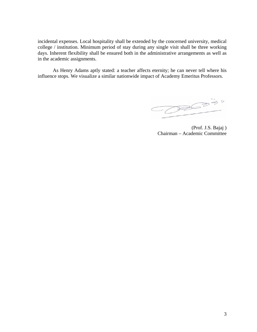incidental expenses. Local hospitality shall be extended by the concerned university, medical college / institution. Minimum period of stay during any single visit shall be three working days. Inherent flexibility shall be ensured both in the administrative arrangements as well as in the academic assignments.

As Henry Adams aptly stated: a teacher affects eternity; he can never tell where his influence stops. We visualize a similar nationwide impact of Academy Emeritus Professors.

 $-020335$ 

(Prof. J.S. Bajaj ) Chairman – Academic Committee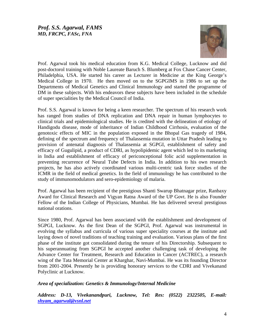

Prof. Agarwal took his medical education from K.G. Medical College, Lucknow and did post-doctorol training with Noble Laureate Baruch S. Blumberg at Fox Chase Cancer Center, Philadelphia, USA. He started his career as Lecturer in Medicine at the King George's Medical College in 1970. He then moved on to the SGPGIMS in 1986 to set up the Departments of Medical Genetics and Clinical Immunology and started the programme of DM in these subjects. With his endeavors these subjects have been included in the schedule of super specialities by the Medical Council of India.

Prof. S.S. Agarwal is known for being a keen researcher. The spectrum of his research work has ranged from studies of DNA replication and DNA repair in human lymphocytes to clinical trials and epidemiological studies. He is credited with the delineation of etiology of Handigodu disease, mode of inheritance of Indian Childhood Cirrhosis, evaluation of the genotoxic effects of MIC in the population exposed in the Bhopal Gas tragedy of 1984, defining of the spectrum and frequency of Thalassemia mutation in Uttar Pradesh leading to provision of antenatal diagnosis of Thalassemia at SGPGI, establishment of safety and efficacy of Gugulipid, a product of CDRI, as hypolipidemic agent which led to its marketing in India and establishment of efficacy of periconceptional folic acid supplementation in preventing recurrence of Neural Tube Defects in India. In addition to his own research projects, he has also actively coordinated various multi-centric task force studies of the ICMR in the field of medical genetics. In the field of immunology he has contributed to the study of immunomodulators and sero-epidemiology of malaria.

Prof. Agarwal has been recipient of the prestigious Shanti Swarup Bhatnagar prize, Ranbaxy Award for Clinical Research and Vigyan Ratna Award of the UP Govt. He is also Founder Fellow of the Indian College of Physicians, Mumbai. He has delivered several prestigious national orations.

Since 1980, Prof. Agarwal has been associated with the establishment and development of SGPGI, Lucknow. As the first Dean of the SGPGI, Prof. Agarwal was instrumental in evolving the syllabus and curricula of various super speciality courses at the institute and laying down of novel traditions of teaching training and evaluation. Various plans of the first phase of the institute got consolidated during the tenure of his Directorship. Subsequent to his superannuating from SGPGI he accepted another challenging task of developing the Advance Center for Treatment, Research and Education in Cancer (ACTREC), a research wing of the Tata Memorial Center at Kharghar, Navi-Mumbai. He was its founding Director from 2001-2004. Presently he is providing honorary services to the CDRI and Vivekanand Polyclinic at Lucknow.

# *Area of specialization: Genetics & Immunology/Internal Medicine*

*Address: D-13, Vivekanandpuri, Lucknow, Tel: Res: (0522) 2322505, E-mail: [shyam\\_agarwal@vsnl.net](mailto:shyam_agarwal@vsnl.net)*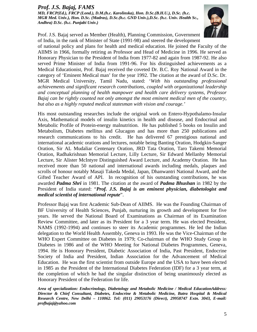# *Prof. J.S. Bajaj, FAMS*

*MD, FRCP(Ed.), FRCP (Lond.), D.M.(h.c. Karolinska), Hon. D.Sc.(B.H.U.), D.Sc. (h.c. MGR Med. Univ.), Hon. D.Sc. (Madras), D.Sc.(h.c. GND Univ.),D.Sc. (h.c. Univ. Health Sc., Andhra) D.Sc. (h.c. Punjabi Univ.)* 



Prof. J.S. Bajaj served as Member (Health), Planning Commission, Government of India, in the rank of Minister of State (1991-98) and steered the development

of national policy and plans for health and medical education. He joined the Faculty of the AIIMS in 1966, formally retiring as Professor and Head of Medicine in 1996. He served as Honorary Physician to the President of India from 1977-82 and again from 1987-92. He also served Prime Minister of India from 1991-96. For his distinguished achievements as a Medical Educationist, Prof. Bajaj received the coveted Dr. B.C. Roy National Award in the category of 'Eminent Medical man' for the year 1992. The citation at the award of D.Sc. Dr. MGR Medical University, Tamil Nadu, stated: '*With his outstanding professional achievements and significant research contributions, coupled with organizational leadership and conceptual planning of health manpower and health care delivery systems, Professor Bajaj can be rightly counted not only amongst the most eminent medical men of the country, but also as a highly reputed medical statesman with vision and courage.'* 

His most outstanding researches include the original work on Entero-Hypothalamo-Insular Axis, Mathematical models of insulin kinetics in health and disease, and Endocrinal and Metabolic Profile of Protein-energy malnutrition. He has published 5 books on Insulin and Metabolism, Diabetes mellitus and Glucagon and has more than 250 publications and research communications to his credit. He has delivered 67 prestigious national and international academic orations and lectures, notable being Banting Oration, Hodgkin-Sanger Oration, Sir AL Mudaliar Centenary Oration, JRD Tata Oration, Taro Takemi Memorial Oration, Radhakrishnan Memorial Lecture, Lilly Lecture, Sir Edward Mellanby Memorial Lecture, Sir Alister McIntyre Distinguished Award Lecture, and Academy Oration. He has received more than 50 national and international awards including medals, plaques and scrolls of honour notably Masaji Takeda Medal, Japan, Dhanwantri National Award, and the Gifted Teacher Award of API. In recognition of his outstanding contributions, he was awarded *Padma Shri* in 1981. The citation at the award of *Padma Bhushan* in 1982 by the President of India stated: "*Prof. J.S. Bajaj is an eminent physician, diabetologist and medical scientist of international repute*".

Professor Bajaj was first Academic Sub-Dean of AIIMS. He was the Founding Chairman of BF University of Health Sciences, Punjab, nurturing its growth and development for five years. He served the National Board of Examinations as Chairman of its Examination Review Committee, and later as its President for a 3 year term. He was elected President, NAMS (1992-1994) and continues to steer its Academic programmes. He led the Indian delegation to the World Health Assembly, Geneva in 1993. He was the Vice-Chairman of the WHO Expert Committee on Diabetes in 1979; Co-chairman of the WHO Study Group in Diabetes in 1986 and of the WHO Meeting for National Diabetes Programmes, Geneva, 1994. He is Honorary President, Diabetic Association of India, Past President, Endocrine Society of India and President, Indian Association for the Advancement of Medical Education. He was the first scientist from outside Europe and the USA to have been elected in 1985 as the President of the International Diabetes Federation (IDF) for a 3 year term, at the completion of which he had the singular distinction of being unanimously elected as Honorary President of the Federation for life.

*Area of specialization: Endocrinology, Diabetology and Metabolic Medicine / Medical EducationAddress: Director & Chief Consultant, Diabetes, Endocrine & Metabolic Medicine, Batra Hospital & Medical Research Centre, New Delhi – 110062. Tel: (011) 29053176 (Direct), 29958747 Extn. 3043, E-mail: profbajaj@yahoo.com*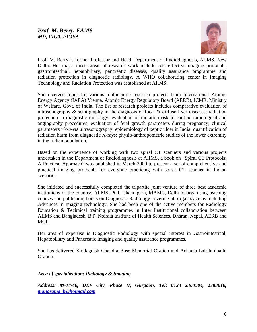

Prof. M. Berry is former Professor and Head, Department of Radiodiagnosis, AIIMS, New Delhi. Her major thrust areas of research work include cost effective imaging protocols, gastrointestinal, hepatobiliary, pancreatic diseases, quality assurance programme and radiation protection in diagnostic radiology. A WHO collaborating center in Imaging Technology and Radiation Protection was established at AIIMS.

She received funds for various multicentric research projects from International Atomic Energy Agency (IAEA) Vienna, Atomic Energy Regulatory Board (AERB), ICMR, Ministry of Welfare, Govt. of India. The list of research projects includes comparative evaluation of ultrasonography  $\&$  scintigraphy in the diagnosis of focal  $\&$  diffuse liver diseases; radiation protection in diagnostic radiology; evaluation of radiation risk in cardiac radiological and angiography procedures; evaluation of fetal growth parameters during pregnancy, clinical parameters *vis-a-vis* ultrasonography; epidemiology of peptic ulcer in India; quantification of radiation harm from diagnostic X-rays; physio-anthropometric studies of the lower extremity in the Indian population.

Based on the experience of working with two spiral CT scanners and various projects undertaken in the Department of Radiodiagnosis at AIIMS, a book on "Spiral CT Protocols: A Practical Approach" was published in March 2000 to present a set of comprehensive and practical imaging protocols for everyone practicing with spiral CT scanner in Indian scenario.

She initiated and successfully completed the tripartite joint venture of three best academic institutions of the country, AIIMS, PGI, Chandigarh, MAMC, Delhi of organising teaching courses and publishing books on Diagnostic Radiology covering all organ systems including Advances in Imaging technology. She had been one of the active members for Radiology Education & Technical training programmes in Inter Institutional collaboration between AIIMS and Bangladesh, B.P. Koirala Institute of Health Sciences, Dharan, Nepal, AERB and MCI.

Her area of expertise is Diagnostic Radiology with special interest in Gastrointestinal, Hepatobiliary and Pancreatic imaging and quality assurance programmes.

She has delivered Sir Jagdish Chandra Bose Memorial Oration and Achanta Lakshmipathi Oration.

*Area of specialization: Radiology & Imaging* 

*Address: M-14/40, DLF City, Phase II, Gurgaon, Tel: 0124 2364504, 2388010, [manorama\\_b@hotmail.com](mailto:manorama_b@hotmail.com)*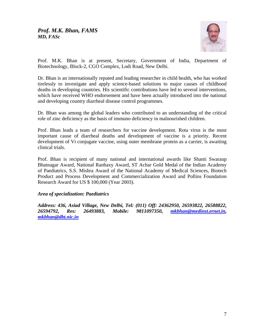

Prof. M.K. Bhan is at present, Secretary, Government of India, Department of Biotechnology, Block-2, CGO Complex, Lodi Road, New Delhi.

Dr. Bhan is an internationally reputed and leading researcher in child health, who has worked tirelessly to investigate and apply science-based solutions to major causes of childhood deaths in developing countries. His scientific contributions have led to several interventions, which have received WHO endorsement and have been actually introduced into the national and developing country diarrheal disease control programmes.

Dr. Bhan was among the global leaders who contributed to an understanding of the critical role of zinc deficiency as the basis of immuno deficiency in malnourished children.

Prof. Bhan leads a team of researchers for vaccine development. Rota virus is the most important cause of diarrheal deaths and development of vaccine is a priority. Recent development of Vi conjugate vaccine, using outer membrane protein as a carrier, is awaiting clinical trials.

Prof. Bhan is recipient of many national and international awards like Shanti Swaraup Bhatnagar Award, National Ranbaxy Award, ST Achar Gold Medal of the Indian Academy of Paediatrics, S.S. Mishra Award of the National Academy of Medical Sciences, Biotech Product and Process Development and Commercialization Award and Pollins Foundation Research Award for US \$ 100,000 (Year 2003).

# *Area of specialization: Paediatrics*

*Address: 436, Asiad Village, New Delhi, Tel: (011) Off: 24362950, 26593822, 26588822, 26594792, Res: 26493883, Mobile: 9811097350, [mkbhan@medinst.ernet.in,](mailto:mkbhan@medinst.ernet.in) [mkbhan@dbt.nic.in](mailto:mkbhan@dbt.nic.in)*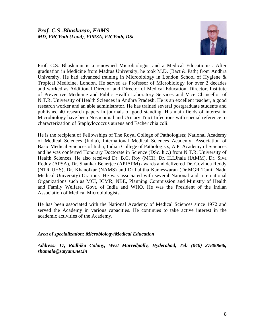

Prof. C.S. Bhaskaran is a renowned Microbiologist and a Medical Educationist. After graduation in Medicine from Madras University, he took M.D. (Bact & Path) from Andhra University. He had advanced training in Microbiology in London School of Hygiene & Tropical Medicine, London. He served as Professor of Microbiology for over 2 decades and worked as Additional Director and Director of Medical Education, Director, Institute of Preventive Medicine and Public Health Laboratory Services and Vice Chancellor of N.T.R. University of Health Sciences in Andhra Pradesh. He is an excellent teacher, a good research worker and an able administrator. He has trained several postgraduate students and published 40 research papers in journals of good standing. His main fields of interest in Microbiology have been Nosocomial and Urinary Tract Infections with special reference to characterization of Staphylococcus aureus and Escherichia coli.

He is the recipient of Fellowships of The Royal College of Pathologists; National Academy of Medical Sciences (India), International Medical Sciences Academy; Association of Basic Medical Sciences of India; Indian College of Pathologists, A.P. Academy of Sciences and he was conferred Honorary Doctorate in Science (DSc. h.c.) from N.T.R. University of Health Sciences. He also received Dr. B.C. Roy (MCI), Dr. H.I.Jhala (IAMM), Dr. Siva Reddy (APSA), Dr. Shankar Benerjee (APIAPM) awards and delivered Dr. Govinda Reddy (NTR UHS), Dr. Khanolkar (NAMS) and Dr.Lalitha Kameswaran (Dr.MGR Tamil Nadu Medical University) Orations. He was associated with several National and International Organizations such as MCI, ICMR, NBE, Planning Commission and Ministry of Health and Family Welfare, Govt. of India and WHO. He was the President of the Indian Association of Medical Microbiologists.

He has been associated with the National Academy of Medical Sciences since 1972 and served the Academy in various capacities. He continues to take active interest in the academic activities of the Academy.

# *Area of specialization: Microbiology/Medical Education*

*Address: 17, Radhika Colony, West Marredpally, Hyderabad, Tel: (040) 27800666, shamala@satyam.net.in*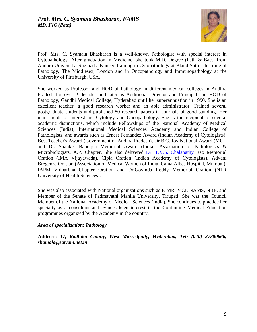

Prof. Mrs. C. Syamala Bhaskaran is a well-known Pathologist with special interest in Cytopathology. After graduation in Medicine, she took M.D. Degree (Path & Bact) from Andhra University. She had advanced training in Cytopathology at Bland Sutton Institute of Pathology, The Middlesex, London and in Oncopathology and Immunopathology at the University of Pittsburgh, USA.

She worked as Professor and HOD of Pathology in different medical colleges in Andhra Pradesh for over 2 decades and later as Additional Director and Principal and HOD of Pathology, Gandhi Medical College, Hyderabad until her superannuation in 1990. She is an excellent teacher, a good research worker and an able administrator. Trained several postgraduate students and published 80 research papers in Journals of good standing. Her main fields of interest are Cytology and Oncopathology. She is the recipient of several academic distinctions, which include Fellowships of the National Academy of Medical Sciences (India); International Medical Sciences Academy and Indian College of Pathologists, and awards such as Ernest Fernandez Award (Indian Academy of Cytologists), Best Teacher's Award (Government of Andhra Pradesh), Dr.B.C.Roy National Award (MCI) and Dr. Shanker Banerjea Memorial Award (Indian Association of Pathologists & Microbiologists, A.P. Chapter. She also delivered [Dr. T.V.S. Chalapathy](http://dr.t.v.s.chalapathy/) Rao Memorial Oration (IMA Vijayawada), Cipla Oration (Indian Academy of Cytologists), Advani Bregenza Oration (Association of Medical Women of India, Cama Albes Hospital, Mumbai), IAPM Vidharbha Chapter Oration and Dr.Govinda Reddy Memorial Oration (NTR University of Health Sciences).

She was also associated with National organizations such as ICMR, MCI, NAMS, NBE, and Member of the Senate of Padmavathi Mahila University, Tirupati. She was the Council Member of the National Academy of Medical Sciences (India). She continues to practice her specialty as a consultant and evinces keen interest in the Continuing Medical Education programmes organized by the Academy in the country.

#### *Area of specialization: Pathology*

**Address:** *17, Radhika Colony, West Marredpally, Hyderabad, Tel: (040) 27800666, shamala@satyam.net.in*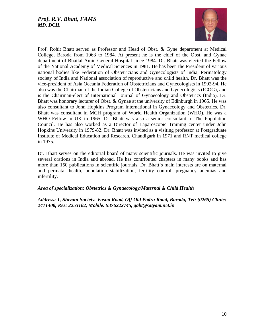

Prof. Rohit Bhatt served as Professor and Head of Obst. & Gyne department at Medical College, Baroda from 1963 to 1984. At present he is the chief of the Obst. and Gynae department of Bhailal Amin General Hospital since 1984. Dr. Bhatt was elected the Fellow of the National Academy of Medical Sciences in 1981. He has been the President of various national bodies like Federation of Obstetricians and Gynecologists of India, Perinatology society of India and National association of reproductive and child health. Dr. Bhatt was the vice-president of Asia Oceania Federation of Obstetricians and Gynecologists in 1992-94. He also was the Chairman of the Indian College of Obstetricians and Gynecologists (ICOG), and is the Chairman-elect of International Journal of Gynaecology and Obstetrics (India). Dr. Bhatt was honorary lecturer of Obst. & Gynae at the university of Edinburgh in 1965. He was also consultant to John Hopkins Program International in Gynaecology and Obstetrics. Dr. Bhatt was consultant in MCH program of World Health Organization (WHO). He was a WHO Fellow in UK in 1965. Dr. Bhatt was also a senior consultant to The Population Council. He has also worked as a Director of Laparoscopic Training center under John Hopkins University in 1979-82. Dr. Bhatt was invited as a visiting professor at Postgraduate Institute of Medical Education and Research, Chandigarh in 1971 and RNT medical college in 1975.

Dr. Bhatt serves on the editorial board of many scientific journals. He was invited to give several orations in India and abroad. He has contributed chapters in many books and has more than 150 publications in scientific journals. Dr. Bhatt's main interests are on maternal and perinatal health, population stabilization, fertility control, pregnancy anemias and infertility.

# *Area of specialization: Obstetrics & Gynaecology/Maternal & Child Health*

*Address: 1, Shivani Society, Vasna Road, Off Old Padra Road, Baroda, Tel: (0265) Clinic: 2411408, Res: 2253182, Mobile: 9376222745, gabt@satyam.net.in*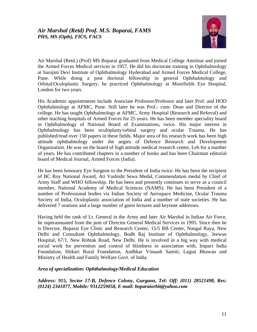

Air Marshal (Retd.) (Prof) MS Boparai graduated from Medical College Amritsar and joined the Armed Forces Medical services in 1957. He did his doctorate training in Ophthalmology at Sarojini Devi Institute of Ophthalmology Hyderabad and Armed Forces Medical College, Pune. While doing a post doctoral fellowship in general Ophthalmology and Orbital/Oculoplastic Surgery, he practiced Ophthalmology at Moorfields Eye Hospital, London for two years.

His Academic appointments include Associate Professor/Professor and later Prof. and HOD Ophthalmology at AFMC, Pune. Still later he was Prof.- cum- Dean and Director of the college. He has taught Ophthalmology at AFMC, Army Hospital (Research and Referral) and other teaching hospitals of Armed Forces for 25 years. He has been member speciality board in Ophthalmology of National Board of Examinations, twice. His major interest in Ophthalmology has been oculoplasty/orbital surgery and ocular Trauma. He has published/read over 150 papers in these fields. Major area of his research work has been high attitude ophthalmology under the aegies of Defence Research and Development Organization. He was on the board of high attitude medical research center, Leh for a number of years. He has contributed chapters in a number of books and has been Chairman editorial board of Medical Journal, Armed Forces (India).

He has been honorary Eye Surgeon to the President of India twice. He has been the recipient of BC Roy National Award, Ati Vashisht Sewa Medal, Commendation medal by Chief of Army Staff and WHO fellowship. He has been and presently continues to serve as a council member, National Academy of Medical Sciences (NAMS). He has been President of a number of Professional bodies viz Indian Society of Aerospace Medicine, Ocular Trauma Society of India, Oculoplastic association of India and a number of state societies. He has delivered 7 orations and a large number of guest lectures and keynote addresses.

Having held the rank of Lt. General in the Army and later Air Marshal in Indian Air Force, he superannuated from the post of Director General Medical Services in 1995. Since then he is Director, Boparai Eye Clinic and Research Center, 15/5 RB Center, Nangal Raya, New Delhi and Consultant Ophthalmology, Bodh Raj Institute of Ophthalmology, Jeewan Hospital, 67/1, New Rohtak Road, New Delhi. He is involved in a big way with medical social work for prevention and control of blindness in association with, Impact India Foundation, Hitkari Rural Foundation, Andhkar Vinaash Samiti, Lajpat Bhawan and Ministry of Health and Family Welfare Govt. of India.

# *Area of specialization: Ophthalmology/Medical Education*

*Address: 915, Sector 17-B, Defence Colony, Gurgaon, Tel: Off: (011) 28521498, Res: (0124) 2341077, Mobile: 9312259058, E-mail: boparaiorbit@yahoo.com*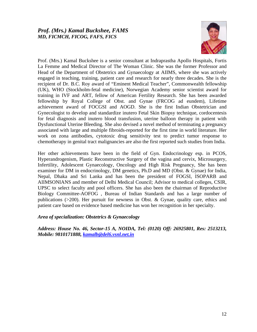

Prof. (Mrs.) Kamal Buckshee is a senior consultant at Indraprastha Apollo Hospitals, Fortis La Femme and Medical Director of The Woman Clinic. She was the former Professor and Head of the Department of Obstetrics and Gynaecology at AIIMS, where she was actively engaged in teaching, training, patient care and research for nearly three decades. She is the recipient of Dr. B.C. Roy award of "Eminent Medical Teacher", Commonwealth fellowship (UK), WHO (Stockholm-fetal medicine), Norwegian Academy senior scientist award for training in IVF and ART, fellow of American Fertility Research. She has been awarded fellowship by Royal College of Obst. and Gynae (FRCOG ad eundem), Lifetime achievement award of FOCGSI and AOGD. She is the first Indian Obstetrician and Gynecologist to develop and standardize inutero Fetal Skin Biopsy technique, cordocentesis for fetal diagnosis and inutero blood transfusion, uterine balloon therapy in patient with Dysfunctional Uterine Bleeding. She also devised a novel method of terminating a pregnancy associated with large and multiple fibroids-reported for the first time in world literature. Her work on zona antibodies, cytotoxic drug sensitivity test to predict tumor response to chemotherapy in genital tract malignancies are also the first reported such studies from India.

Her other achievements have been in the field of Gyn. Endocrinology esp. in PCOS, Hyperandrogenism, Plastic Reconstructive Surgery of the vagina and cervix, Microsurgery, Infertility, Adolescent Gynaecology, Oncology and High Risk Pregnancy, She has been examiner for DM in endocrinology, DM genetics, Ph.D and MD (Obst. & Gynae) for India, Nepal, Dhaka and Sri Lanka and has been the president of FOGSI, ISOPARB and AIIMSONIANS and member of Delhi Medical Council; Advisor to medical colleges, CSIR, UPSC to select faculty and pool officers. She has also been the chairman of Reproductive Biology Committee-AOFOG , Bureau of Indian Standards and has a large number of publications (>200). Her pursuit for newness in Obst. & Gynae, quality care, ethics and patient care based on evidence based medicine has won her recognition in her specialty.

# *Area of specialization: Obstetrics & Gynaecology*

*Address: House No. 46, Sector-15 A, NOIDA, Tel: (0120) Off: 26925801, Res: 2513213, Mobile: 9810171888, [kamalb@del6.vsnl.net.in](mailto:kamalb@del6.vsnl.net.in)*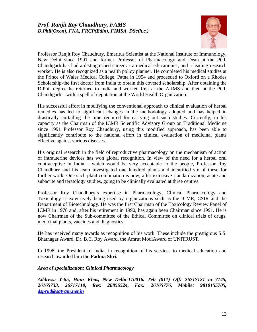# *Prof. Ranjit Roy Chaudhury, FAMS D.Phil(Oxon), FNA, FRCP(Edin), FIMSA, DSc(h.c.)*



Professor Ranjit Roy Chaudhury, Emeritus Scientist at the National Institute of Immunology, New Delhi since 1991 and former Professor of Pharmacology and Dean at the PGI, Chandigarh has had a distinguished career as a medical educationist, and a leading research worker. He is also recognized as a health policy planner. He completed his medical studies at the Prince of Wales Medical College, Patna in 1954 and proceeded to Oxford on a Rhodes Scholarship-the first doctor from India to obtain this coveted scholarship. After obtaining the D.Phil degree he returned to India and worked first at the AIIMS and then at the PGI, Chandigarh – with a spell of deputation at the World Health Organization.

His successful effort in modifying the conventional approach to clinical evaluation of herbal remedies has led to significant changes in the methodology adopted and has helped in drastically curtailing the time required for carrying out such studies. Currently, in his capacity as the Chairman of the ICMR Scientific Advisory Group on Traditional Medicine since 1991 Professor Roy Chaudhury, using this modified approach, has been able to significantly contribute to the national effort in clinical evaluation of medicinal plants effective against various diseases.

His original research in the field of reproductive pharmacology on the mechanism of action of intrauterine devices has won global recognition. In view of the need for a herbal oral contraceptive in India – which would be very acceptable to the people, Professor Roy Chaudhury and his team investigated one hundred plants and identified six of these for further work. One such plant combination is now, after extensive standardization, acute and subacute and teratology studies, going to be clinically evaluated at three centres.

Professor Roy Chaudhury's expertise in Pharmacology, Clinical Pharmacology and Toxicology is extensively being used by organizations such as the ICMR, CSIR and the Department of Biotechnology. He was the first Chairman of the Toxicology Review Panel of ICMR in 1978 and, after his retirement in 1990, has again been Chairman since 1991. He is now Chairman of the Sub-committee of the Ethical Committee on clinical trials of drugs, medicinal plants, vaccines and diagnostics.

He has received many awards as recognition of his work. These include the prestigious S.S. Bhatnagar Award, Dr. B.C. Roy Award, the Amrut ModiAward of UNITRUST.

In 1998, the President of India, in recognition of his services to medical education and research awarded him the **Padma Shri.**

#### *Area of specialization: Clinical Pharmacology*

*Address: Y-85, Hauz Khas, New Delhi-110016. Tel: (011) Off: 26717121 to 7145, 26165733, 26717110, Res: 26856524, Fax: 26165776, Mobile: 9810155705, [dsprud@satyam.net.in](mailto:dsprud@satyam.net.in)*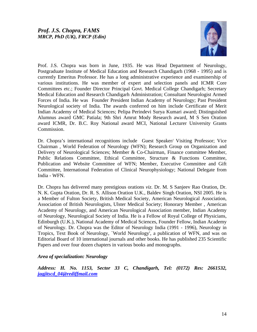

Prof. J.S. Chopra was born in June, 1935. He was Head Department of Neurology, Postgraduate Institute of Medical Education and Research Chandigarh (1968 - 1995) and is currently Emeritus Professor. He has a long administrative experience and examinership of various institutions. He was member of expert and selection panels and ICMR Core Committees etc.; Founder Director Principal Govt. Medical College Chandigarh; Secretary Medical Education and Research Chandigarh Administration; Consultant Neurologist Armed Forces of India. He was Founder President Indian Academy of Neurology; Past President Neurological society of India. The awards conferred on him include Certificate of Merit Indian Academy of Medical Sciences; Pelipa Perindevi Surya Kumari award; Distinguished Alumnus award GMC Patiala; 9th Shri Amrut Mody Research award, M S Sen Oration award ICMR, Dr. B.C. Roy National award MCI, National Lecturer University Grants Commission.

Dr. Chopra's international recognitions include Guest Speaker/ Visiting Professor; Vice Chairman , World Federation of Neurology (WFN); Research Group on Organization and Delivery of Neurological Sciences; Member & Co-Chairman, Finance committee Member, Public Relations Committee, Ethical Committee, Structure & Functions Committee, Publication and Website Committee of WFN; Member, Executive Committee and Gift Committee, International Federation of Clinical Neurophysiology; National Delegate from India - WFN.

Dr. Chopra has delivered many prestigious orations *viz*. Dr. M. S Sanjeev Rao Oration, Dr. N. K. Gupta Oration, Dr. R. S. Allison Oration U.K., Baldev Singh Oration, NSI 2005. He is a Member of Fulton Society, British Medical Society, American Neurological Association, Association of British Neurologists, Ulster Medical Society; Honorary Member , American Academy of Neurology, and American Neurological Association member, Indian Academy of Neurology, Neurological Society of India. He is a Fellow of Royal College of Physicians, Edinburgh (U.K.), National Academy of Medical Sciences, Founder Fellow, Indian Academy of Neurology. Dr. Chopra was the Editor of Neurology India (1991 - 1996), Neurology in Tropics, Text Book of Neurology, `World Neurology', a publication of WFN, and was on Editorial Board of 10 international journals and other books. He has published 235 Scientific Papers and over four dozen chapters in various books and monographs.

# *Area of specialization: Neurology*

*Address: H. No. 1153, Sector 33 C, Chandigarh, Tel: (0172) Res: 2661532, [jagjitscd\\_04@rediffmail.com](mailto:jagjitscd_04@rediffmail.com)*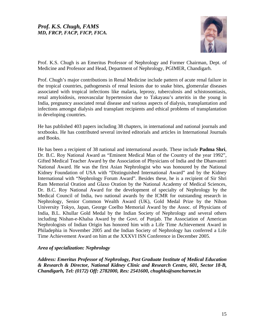# *Prof. K.S. Chugh, FAMS MD, FRCP, FACP, FICP, FICA.*



Prof. K.S. Chugh is an Emeritus Professor of Nephrology and Former Chairman, Dept. of Medicine and Professor and Head, Department of Nephrology, PGIMER, Chandigarh.

Prof. Chugh's major contributions in Renal Medicine include pattern of acute renal failure in the tropical countries, pathogenesis of renal lesions due to snake bites, glomerular diseases associated with tropical infections like malaria, leprosy, tuberculosis and schistosomiasis, renal amyloidosis, renovascular hypertension due to Takayasu's arteritis in the young in India, pregnancy associated renal disease and various aspects of dialysis, transplantation and infections amongst dialysis and transplant recipients and ethical problems of transplantation in developing countries.

He has published 403 papers including 38 chapters, in international and national journals and textbooks. He has contributed several invited editorials and articles in International Journals and Books.

He has been a recipient of 38 national and international awards. These include **Padma Shri**, Dr. B.C. Roy National Award as "Eminent Medical Man of the Country of the year 1992", Gifted Medical Teacher Award by the Association of Physicians of India and the Dhanvantri National Award. He was the first Asian Nephrologist who was honoured by the National Kidney Foundation of USA with "Distinguished International Award" and by the Kidney International with "Nephrology Forum Award". Besides these, he is a recipient of Sir Shri Ram Memorial Oration and Glaxo Oration by the National Academy of Medical Sciences, Dr. B.C. Roy National Award for the development of specialty of Nephrology by the Medical Council of India, two national awards by the ICMR for outstanding research in Nephrology, Senior Common Wealth Award (UK), Gold Medal Prize by the Nihon University Tokyo, Japan, George Coelho Memorial Award by the Assoc. of Physicians of India, B.L. Khullar Gold Medal by the Indian Society of Nephrology and several others including Nishan-e-Khalsa Award by the Govt. of Punjab. The Association of American Nephrologists of Indian Origin has honored him with a Life Time Achievement Award in Philadephia in November 2005 and the Indian Society of Nephrology has conferred a Life Time Achievement Award on him at the XXXVI ISN Conference in December 2005.

#### *Area of specialization: Nephrology*

*Address: Emeritus Professor of Nephrology, Post Graduate Institute of Medical Education & Research & Director, National Kidney Clinic and Research Centre, 601, Sector 18-B, Chandigarh, Tel: (0172) Off: 2782000, Res: 2541600, chughks@sancharnet.in*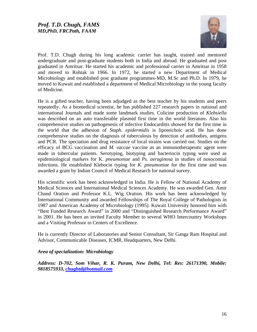

Prof. T.D. Chugh during his long academic carrier has taught, trained and mentored undergraduate and post-graduate students both in India and abroad. He graduated and post graduated in Amritsar. He started his academic and professional carrier in Amritsar in 1958 and moved to Rohtak in 1966. In 1972, he started a new Department of Medical Microbiology and established post graduate programmes-MD, M.Sc and Ph.D. In 1979, he moved to Kuwait and established a department of Medical Microbiology in the young faculty of Medicine.

He is a gifted teacher, having been adjudged as the best teacher by his students and peers repeatedly. As a biomedical scientist, he has published 227 research papers in national and international Journals and made some landmark studies. Colicine production of *Klebsiella*  was described on an auto transferable plasmid first time in the world literature**.** Also his comprehensive studies on pathogenesis of infective Endocarditis showed for the first time in the world that the adhesion of *Staph. epidermidis* is lipoteichoic acid. He has done comprehensive studies on the diagnosis of tuberculosis by detection of antibodies, antigens and PCR. The speciation and drug resistance of local strains was carried out. Studies on the efficacy of BCG vaccination and *M. vaccae* vaccine as an immunotherapeutic agent were made in tubercular patients. Serotyping, biotyping and bacteriocin typing were used as epidemiological markers for K. *pneumoniae* and *Ps. aeruginosa* in studies of nosocomial infections. He established Klebocin typing for *K. pneumoniae* for the first time and was awarded a grant by Indian Council of Medical Research for national survey.

His scientific work has been acknowledged in India. He is Fellow of National Academy of Medical Sciences and International Medical Sciences Academy. He was awarded Gen. Amir Chand Oration and Professor K.L. Wig Oration. His work has been acknowledged by International Community and awarded Fellowships of The Royal College of Pathologists in 1987 and American Academy of Microbiology (1995). Kuwait University honored him with "Best Funded Research Award" in 2000 and "Distinguished Research Performance Award" in 2001. He has been an invited Faculty Member to several WHO Intercountry Workshops and a Visiting Professor to Centers of Excellence.

He is currently Director of Laboratories and Senior Consultant, Sir Ganga Ram Hospital and Advisor, Communicable Diseases, ICMR, Headquarters, New Delhi.

#### *Area of specialization: Microbiology*

*Address: D-702, Som Vihar, R. K. Puram, New Delhi, Tel: Res: 26171390, Mobile: 9818575933, [chughtd@hotmail.com](mailto:chughtd@hotmail.com)*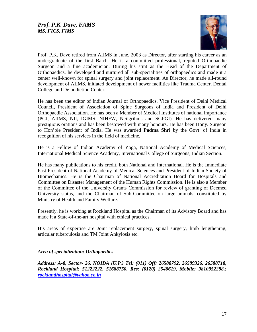

Prof. P.K. Dave retired from AIIMS in June, 2003 as Director, after starting his career as an undergraduate of the first Batch. He is a committed professional, reputed Orthopaedic Surgeon and a fine academician. During his stint as the Head of the Department of Orthopaedics, he developed and nurtured all sub-specialities of orthopaedics and made it a center well-known for spinal surgery and joint replacement. As Director, he made all-round development of AIIMS, initiated development of newer facilities like Trauma Center, Dental College and De-addiction Center.

He has been the editor of Indian Journal of Orthopaedics, Vice President of Delhi Medical Council, President of Association of Spine Surgeons of India and President of Delhi Orthopaedic Association. He has been a Member of Medical Institutes of national importance (PGI, AIIMS, NII, IGIMS, NIHFW, Neilgrihms and SGPGI). He has delivered many prestigious orations and has been bestowed with many honours. He has been Hony. Surgeon to Hon'ble President of India. He was awarded **Padma Shri** by the Govt. of India in recognition of his services in the field of medicine*.* 

He is a Fellow of Indian Academy of Yoga, National Academy of Medical Sciences, International Medical Science Academy, International College of Surgeons, Indian Section.

He has many publications to his credit, both National and International. He is the Immediate Past President of National Academy of Medical Sciences and President of Indian Society of Biomechanics. He is the Chairman of National Accreditation Board for Hospitals and Committee on Disaster Management of the Human Rights Commission. He is also a Member of the Committee of the University Grants Commission for review of granting of Deemed University status, and the Chairman of Sub-Committee on large animals, constituted by Ministry of Health and Family Welfare.

Presently, he is working at Rockland Hospital as the Chairman of its Advisory Board and has made it a State-of-the-art hospital with ethical practices.

His areas of expertise are Joint replacement surgery, spinal surgery, limb lengthening, articular tuberculosis and TM Joint Ankylosis etc.

#### *Area of specialization: Orthopaedics*

*Address: A-8, Sector- 26, NOIDA (U.P.) Tel: (011) Off: 26588792, 26589326, 26588718, Rockland Hospital: 51222222, 51688750, Res: (0120) 2540619, Mobile: 9810952288,: [rocklandhospital@yahoo.co.in](mailto:rocklandhospital@yahoo.co.in)*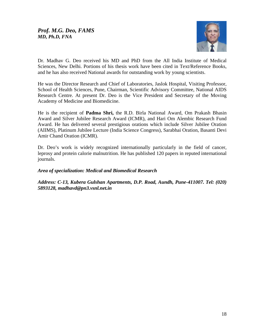

Dr. Madhav G. Deo received his MD and PhD from the All India Institute of Medical Sciences, New Delhi. Portions of his thesis work have been cited in Text/Reference Books, and he has also received National awards for outstanding work by young scientists.

He was the Director Research and Chief of Laboratories, Jaslok Hospital, Visiting Professor, School of Health Sciences, Pune, Chairman, Scientific Advisory Committee, National AIDS Research Centre. At present Dr. Deo is the Vice President and Secretary of the Moving Academy of Medicine and Biomedicine.

He is the recipient of **Padma Shri,** the R.D. Birla National Award, Om Prakash Bhasin Award and Silver Jubilee Research Award (ICMR), and Hari Om Alembic Research Fund Award. He has delivered several prestigious orations which include Silver Jubilee Oration (AIIMS), Platinum Jubilee Lecture (India Science Congress), Sarabhai Oration, Basanti Devi Amir Chand Oration (ICMR).

Dr. Deo's work is widely recognized internationally particularly in the field of cancer, leprosy and protein calorie malnutrition. He has published 120 papers in reputed international journals.

# *Area of specialization: Medical and Biomedical Research*

*Address: C-13, Kubera Gulshan Apartments, D.P. Road, Aundh, Pune-411007. Tel: (020) 5893128, madhavd@pn3.vsnl.net.in*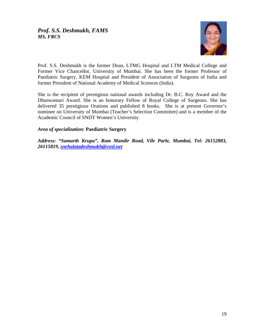

Prof. S.S. Deshmukh is the former Dean, LTMG Hospital and LTM Medical College and Former Vice Chancellor, University of Mumbai. She has been the former Professor of Paediatric Surgery, KEM Hospital and President of Association of Surgeons of India and former President of National Academy of Medical Sciences (India).

She is the recipient of prestigious national awards including Dr. B.C. Roy Award and the Dhanwantari Award. She is an honorary Fellow of Royal College of Surgeons. She has delivered 35 prestigious Orations and published 8 books. She is at present Governor's nominee on University of Mumbai (Teacher's Selection Committee) and is a member of the Academic Council of SNDT Women's University.

# *Area of specialization:* **Paediatric Surgery**

*Address: "Samarth Krupa", Ram Mandir Road, Vile Parle, Mumbai, Tel: 26152883, 26115819, [snehalatadeshmukh@vsnl.net](mailto:snehalatadeshmukh@vsnl.net)*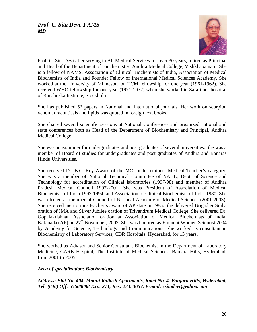

Prof. C. Sita Devi after serving in AP Medical Services for over 30 years, retired as Principal and Head of the Department of Biochemistry, Andhra Medical College, Vishkhapatnam. She is a fellow of NAMS, Association of Clinical Biochemists of India, Association of Medical Biochemists of India and Founder Fellow of International Medical Sciences Academy. She worked at the University of Minnesota on TCM fellowship for one year (1961-1962). She received WHO fellowship for one year (1971-1972) when she worked in Sarafimer hospital of Karolinska Institute, Stockholm.

She has published 52 papers in National and International journals. Her work on scorpion venom, dracontiasis and lipids was quoted in foreign text books.

She chaired several scientific sessions at National Conferences and organized national and state conferences both as Head of the Department of Biochemistry and Principal, Andhra Medical College.

She was an examiner for undergraduates and post graduates of several universities. She was a member of Board of studies for undergraduates and post graduates of Andhra and Banaras Hindu Universities.

She received Dr. B.C. Roy Award of the MCI under eminent Medical Teacher's category. She was a member of National Technical Committee of NABL, Dept. of Science and Technology for accreditation of Clinical laboratories (1997-98) and member of Andhra Pradesh Medical Council 1997-2001. She was President of Association of Medical Biochemists of India 1993-1994, and Association of Clinical Biochemists of India 1980. She was elected as member of Council of National Academy of Medical Sciences (2001-2003). She received meritorious teacher's award of AP state in 1985. She delivered Brigadier Sinha oration of IMA and Silver Jubilee oration of Trivandrum Medical College. She delivered Dr. Gopalakrishnan Association oration at Association of Medical Biochemists of India, Kakinada (AP) on 27<sup>th</sup> November, 2003. She was honored as Eminent Women Scientist 2004 by Academy for Science, Technology and Communications. She worked as consultant in Biochemistry of Laboratory Services, CDR Hospitals, Hyderabad, for 13 years.

She worked as Advisor and Senior Consultant Biochemist in the Department of Laboratory Medicine, CARE Hospital, The Institute of Medical Sciences, Banjara Hills, Hyderabad, from 2001 to 2005.

# *Area of specialization: Biochemistry*

*Address: Flat No. 404, Mount Kailash Apartments, Road No. 4, Banjara Hills, Hyderabad, Tel: (040) Off: 55668888 Exn. 271, Res: 23353657, E-mail: csitadevi@yahoo.com*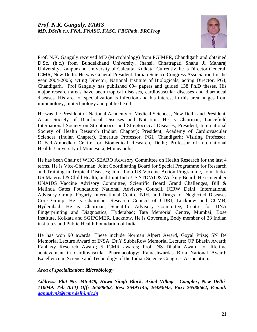

Prof. N.K. Ganguly received MD (Microbiology) from PGIMER, Chandigarh and obtained D.Sc. (h.c.) from Bundelkhand University, Jhansi, Chhatrapati Shahu Ji Maharaj University, Kanpur and University of Calcutta, Kolkata. Currently, he is Director General, ICMR, New Delhi. He was General President, Indian Science Congress Association for the year 2004-2005; acting Director, National Institute of Biologicals; acting Director, PGI, Chandigarh. Prof.Ganguly has published 694 papers and guided 138 Ph.D theses. His major research areas have been tropical diseases, cardiovascular diseases and diarrhoeal diseases. His area of specialization is infection and his interest in this area ranges from immunology, biotechnology and public health.

He was the President of National Academy of Medical Sciences, New Delhi and President, Asian Society of Diarrhoeal Diseases and Nutrition. He is Chairman, Lancefield International Society on Streptococci and Streptococcal Diseases; President, International Society of Health Research (Indian Chapter); President, Academy of Cardiovascular Sciences (Indian Chapter). Emeritus Professor, PGI, Chandigarh; Visiting Professor, Dr.B.R.Ambedkar Centre for Biomedical Research, Delhi; Professor of International Health, University of Minnesota, Minneapolis;

He has been Chair of WHO-SEARO Advisory Committee on Health Research for the last 4 terms. He is Vice-Chairman, Joint Coordinating Board for Special Programme for Research and Training in Tropical Diseases; Joint Indo-US Vaccine Action Programme, Joint Indo-US Maternal & Child Health; and Joint Indo-US STD/AIDS Working Board. He is member UNAIDS Vaccine Advisory Committee; Scientific Board Grand Challenges, Bill & Melinda Gates Foundation; National Advisory Council, ICRW Delhi; International Advisory Group, Fogarty International Centre, NIH, and Drugs for Neglected Diseases Core Group. He is Chairman, Research Council of CDRI, Lucknow and CCMB, Hyderabad. He is Chairman, Scientific Advisory Committee, Centre for DNA Fingerprinting and Diagnostics, Hyderabad; Tata Memorial Centre, Mumbai; Bose Institute, Kolkata and SGIPGMER, Lucknow. He is Governing Body member of 23 Indian institutes and Public Health Foundation of India.

He has won 90 awards. These include Norman Alpert Award, Goyal Prize; SN De Memorial Lecture Award of INSA; Dr.Y.SubbaRow Memorial Lecture; OP Bhasin Award; Ranbaxy Research Award; 5 ICMR awards; Prof. NS Dhalla Award for lifetime achievement in Cardiovascular Pharmacology; Rameshwardas Birla National Award; Excellence in Science and Technology of the Indian Science Congress Association.

# *Area of specialization: Microbiology*

*Address: Flat No. 446-449, Hawa Singh Block, Asiad Village Complex, New Delhi-110049. Tel: (011) Off: 26588662, Res: 26493145, 26493045, Fax: 26588662, E-mail: [gangulynk@icmr.delhi.nic.in](mailto:gangulynk@icmr.delhi.nic.in)*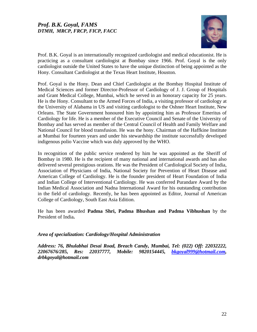# *Prof. B.K. Goyal, FAMS DTMH, MRCP, FRCP, FICP, FACC*



Prof. B.K. Goyal is an internationally recognized cardiologist and medical educationist. He is practicing as a consultant cardiologist at Bombay since 1966. Prof. Goyal is the only cardiologist outside the United States to have the unique distinction of being appointed as the Hony. Consultant Cardiologist at the Texas Heart Institute, Houston.

Prof. Goyal is the Hony. Dean and Chief Cardiologist at the Bombay Hospital Institute of Medical Sciences and former Director-Professor of Cardiology of J. J. Group of Hospitals and Grant Medical College, Mumbai, which he served in an honorary capacity for 25 years. He is the Hony. Consultant to the Armed Forces of India, a visiting professor of cardiology at the University of Alabama in US and visiting cardiologist to the Oshner Heart Institute, New Orleans. The State Government honoured him by appointing him as Professor Emeritus of Cardiology for life. He is a member of the Executive Council and Senate of the University of Bombay and has served as member of the Central Council of Health and Family Welfare and National Council for blood transfusion. He was the hony. Chairman of the Haffkine Institute at Mumbai for fourteen years and under his stewardship the institute successfully developed indigenous polio Vaccine which was duly approved by the WHO.

In recognition of the public service rendered by him he was appointed as the Sheriff of Bombay in 1980. He is the recipient of many national and international awards and has also delivered several prestigious orations. He was the President of Cardiological Society of India, Association of Physicians of India, National Society for Prevention of Heart Disease and American College of Cardiology. He is the founder president of Heart Foundation of India and Indian College of Interventional Cardiology. He was conferred Purandare Award by the Indian Medical Association and Nadna International Award for his outstanding contribution in the field of cardiology. Recently, he has been appointed as Editor, Journal of American College of Cardiology, South East Asia Edition.

He has been awarded **Padma Shri, Padma Bhushan and Padma Vibhushan** by the President of India**.** 

#### *Area of specialization: Cardiology/Hospital Administration*

*Address: 76, Bhulabhai Desai Road, Breach Candy, Mumbai, Tel: (022) Off: 22032222, 22067676/285, Res: 22037777, Mobile: 9820154445, [bkgoyal999@hotmail.com](mailto:bkgoyal999@hotmail.com), drbkgoyal@hotmail.com*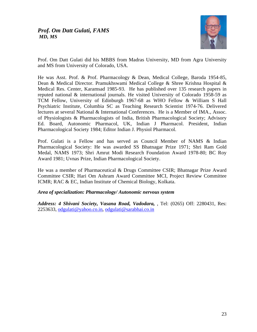

Prof. Om Datt Gulati did his MBBS from Madras University, MD from Agra University and MS from University of Colorado, USA.

He was Asst. Prof. & Prof. Pharmacology & Dean, Medical College, Baroda 1954-85, Dean & Medical Director. Pramukhswami Medical College & Shree Krishna Hospital & Medical Res. Center, Karamsad 1985-93. He has published over 135 research papers in reputed national & international journals. He visited University of Colorado 1958-59 as TCM Fellow, University of Edinburgh 1967-68 as WHO Fellow & William S Hall Psychiatric Institute, Columbia SC as Teaching Research Scientist 1974-76. Delivered lectures at several National & International Conferences. He is a Member of IMA., Assoc. of Physiologists & Pharmacologists of India, British Pharmacological Society; Advisory Ed. Board, Autonomic Pharmacol, UK, Indian J Pharmacol. President, Indian Pharmacological Society 1984; Editor Indian J. Physiol Pharmacol.

Prof. Gulati is a Fellow and has served as Council Member of NAMS & Indian Pharmacological Society: He was awarded SS Bhatnagar Prize 1971; Shri Ram Gold Medal, NAMS 1973; Shri Amrut Modi Research Foundation Award 1978-80; BC Roy Award 1981; Uvnas Prize, Indian Pharmacological Society.

He was a member of Pharmaceutical & Drugs Committee CSIR; Bhatnagar Prize Award Committee CSIR; Hari Om Ashram Award Committee MCI, Project Review Committee ICMR; RAC & EC, Indian Institute of Chemical Biology, Kolkata.

# *Area of specialization: Pharmacology/ Autonomic nervous system*

*Address: 4 Shivani Society, Vasana Road, Vadodara,* , Tel: (0265) Off: 2280431, Res: 2253633, [odgulati@yahoo.co.in](mailto:odgulati@yahoo.co.in), [odgulati@sarabhai.co.in](mailto:odgulati@sarabhai.co.in)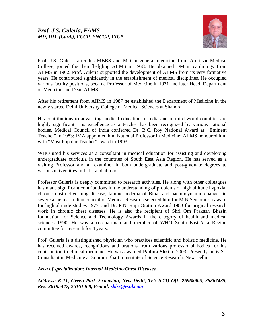

Prof. J.S. Guleria after his MBBS and MD in general medicine from Amritsar Medical College, joined the then fledgling AIIMS in 1958. He obtained DM in cardiology from AIIMS in 1962. Prof. Guleria supported the development of AIIMS from its very formative years. He contributed significantly in the establishment of medical disciplines. He occupied various faculty positions, became Professor of Medicine in 1971 and later Head, Department of Medicine and Dean AIIMS.

After his retirement from AIIMS in 1987 he established the Department of Medicine in the newly started Delhi University College of Medical Sciences at Shahdra.

His contributions to advancing medical education in India and in third world countries are highly significant. His excellence as a teacher has been recognized by various national bodies. Medical Council of India conferred Dr. B.C. Roy National Award as "Eminent Teacher" in 1983; IMA appointed him National Professor in Medicine; AIIMS honoured him with "Most Popular Teacher" award in 1993.

WHO used his services as a consultant in medical education for assisting and developing undergraduate curricula in the countries of South East Asia Region. He has served as a visiting Professor and an examiner in both undergraduate and post-graduate degrees to various universities in India and abroad.

Professor Guleria is deeply committed to research activities. He along with other colleagues has made significant contributions in the understanding of problems of high altitude hypoxia, chronic obstructive lung disease, famine oedema of Bihar and haemodynamic changes in severe anaemia. Indian council of Medical Research selected him for M.N.Sen oration award for high altitude studies 1977, and Dr. P.N. Raju Oration Award 1983 for original research work in chronic chest diseases. He is also the recipient of Shri Om Prakash Bhasin foundation for Science and Technology Awards in the category of health and medical sciences 1990. He was a co-chairman and member of WHO South East-Asia Region committee for research for 4 years.

Prof. Guleria is a distinguished physician who practices scientific and holistic medicine. He has received awards, recognitions and orations from various professional bodies for his contribution to clinical medicine. He was awarded **Padma Shri** in 2003. Presently he is Sr. Consultant in Medicine at Sitaram Bhartia Institute of Science Research, New Delhi.

#### *Area of specialization: Internal Medicine/Chest Diseases*

*Address: K-11, Green Park Extension, New Delhi, Tel: (011) Off: 26968905, 26867435, Res: 26195447, 26161468, E-mail: [sbisr@vsnl.com](mailto:sbisr@vsnl.com)*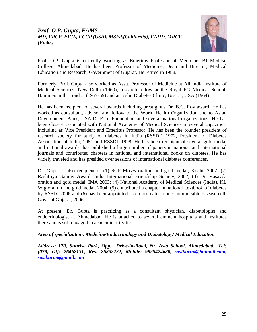# *Prof. O.P. Gupta, FAMS MD, FRCP, FICA, FCCP (USA), MSEd.(California), FAIID, MRCP (Endo.)*



Prof. O.P. Gupta is currently working as Emeritus Professor of Medicine, BJ Medical College, Ahmedabad. He has been Professor of Medicine, Dean and Director, Medical Education and Research, Government of Gujarat. He retired in 1988.

Formerly, Prof. Gupta also worked as Asstt. Professor of Medicine at All India Institute of Medical Sciences, New Delhi (1960), research fellow at the Royal PG Medical School, Hammersmith, London (1957-59) and at Joslin Diabetes Clinic, Boston, USA (1964).

He has been recipient of several awards including prestigious Dr. B.C. Roy award. He has worked as consultant, advisor and fellow to the World Health Organization and to Asian Development Bank, USAID, Ford Foundation and several national organizations. He has been closely associated with National Academy of Medical Sciences in several capacities, including as Vice President and Emeritus Professor. He has been the founder president of research society for study of diabetes in India (RSSDI) 1972, President of Diabetes Association of India, 1981 and RSSDI, 1998. He has been recipient of several gold medal and national awards, has published a large number of papers in national and international journals and contributed chapters in national and international books on diabetes. He has widely traveled and has presided over sessions of international diabetes conferences.

Dr. Gupta is also recipient of (1) SGP Moses oration and gold medal, Kochi, 2002; (2) Rashtriya Gaurav Award, India International Friendship Society, 2002; (3) Dr. Vasavda oration and gold medal, IMA 2003; (4) National Academy of Medical Sciences (India), KL Wig oration and gold medal, 2004; (5) contributed a chapter in national textbook of diabetes by RSSDI-2006 and (6) has been appointed as co-ordinator, noncommunicable disease cell, Govt. of Gujarat, 2006.

At present, Dr. Gupta is practicing as a consultant physician, diabetologist and endocrinologist at Ahmedabad. He is attached to several eminent hospitals and institutes there and is still engaged in academic activities.

# *Area of specialization: Medicine/Endocrinology and Diabetology/ Medical Education*

*Address: 170, Sunrise Park, Opp. Drive-in-Road, Nr. Asia School, Ahmedabad,. Tel: (079) Off: 26462131, Res: 26852222, Mobile: 9825474680, [sasikurup@hotmail.com,](mailto:sasikurup@hotmail.com) [sasikurup@gmail.com](mailto:vsmathur@satyam.net.in)*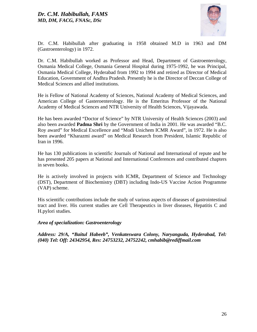

Dr. C.M. Habibullah after graduating in 1958 obtained M.D in 1963 and DM (Gastroenterology) in 1972.

Dr. C.M. Habibullah worked as Professor and Head, Department of Gastroenterology, Osmania Medical College, Osmania General Hospital during 1975-1992, he was Principal, Osmania Medical College, Hyderabad from 1992 to 1994 and retired as Director of Medical Education, Government of Andhra Pradesh. Presently he is the Director of Deccan College of Medical Sciences and allied institutions.

He is Fellow of National Academy of Sciences, National Academy of Medical Sciences, and American College of Gasteroenterology. He is the Emeritus Professor of the National Academy of Medical Sciences and NTR University of Health Sciences, Vijayawada.

He has been awarded "Doctor of Science" by NTR University of Health Sciences (2003) and also been awarded **Padma Shri** by the Government of India in 2001. He was awarded "B.C. Roy award" for Medical Excellence and "Modi Unichem ICMR Award", in 1972. He is also been awarded "Kharazmi award" on Medical Research from President, Islamic Republic of Iran in 1996.

He has 130 publications in scientific Journals of National and International of repute and he has presented 205 papers at National and International Conferences and contributed chapters in seven books.

He is actively involved in projects with ICMR, Department of Science and Technology (DST), Department of Biochemistry (DBT) including Indo-US Vaccine Action Programme (VAP) scheme.

His scientific contributions include the study of various aspects of diseases of gastrointestinal tract and liver. His current studies are Cell Therapeutics in liver diseases, Hepatitis C and H.pylori studies.

#### *Area of specialization: Gastroenterology*

*Address: 29/A, "Baitul Habeeb", Venkateswara Colony, Naryanguda, Hyderabad, Tel: (040) Tel: Off: 24342954, Res: 24753232, 24752242, cmhabib@rediffmail.com*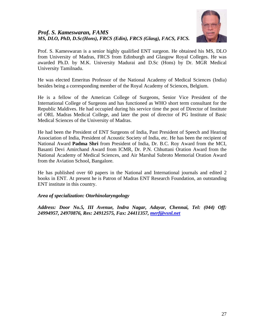# *Prof. S. Kameswaran, FAMS MS, DLO, PhD, D.Sc(Hons), FRCS (Edin), FRCS (Glasg), FACS, FICS.*



Prof. S. Kameswaran is a senior highly qualified ENT surgeon. He obtained his MS, DLO from University of Madras, FRCS from Edinburgh and Glasgow Royal Colleges. He was awarded Ph.D. by M.K. University Madurai and D.Sc (Hons) by Dr. MGR Medical University Tamilnadu.

He was elected Emeritus Professor of the National Academy of Medical Sciences (India) besides being a corresponding member of the Royal Academy of Sciences, Belgium.

He is a fellow of the American College of Surgeons, Senior Vice President of the International College of Surgeons and has functioned as WHO short term consultant for the Republic Maldives. He had occupied during his service time the post of Director of Institute of ORL Madras Medical College, and later the post of director of PG Institute of Basic Medical Sciences of the University of Madras.

He had been the President of ENT Surgeons of India, Past President of Speech and Hearing Association of India, President of Acoustic Society of India, etc. He has been the recipient of National Award **Padma Shri** from President of India, Dr. B.C. Roy Award from the MCI, Basanti Devi Amirchand Award from ICMR, Dr. P.N. Chhuttani Oration Award from the National Academy of Medical Sciences, and Air Marshal Subroto Memorial Oration Award from the Aviation School, Bangalore.

He has published over 60 papers in the National and International journals and edited 2 books in ENT. At present he is Patron of Madras ENT Research Foundation, an outstanding ENT institute in this country.

# *Area of specialization: Otorhinolaryngology*

*Address: Door No.5, III Avenue, Indra Nagar, Adayar, Chennai, Tel: (044) Off: 24994957, 24970876, Res: 24912575, Fax: 24411357, [merf@vsnl.net](mailto:merf@vsnl.net)*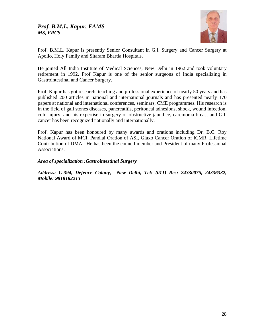# *Prof. B.M.L. Kapur, FAMS MS, FRCS*



Prof. B.M.L. Kapur is presently Senior Consultant in G.I. Surgery and Cancer Surgery at Apollo, Holy Family and Sitaram Bhartia Hospitals.

He joined All India Institute of Medical Sciences, New Delhi in 1962 and took voluntary retirement in 1992. Prof Kapur is one of the senior surgeons of India specializing in Gastrointestinal and Cancer Surgery.

Prof. Kapur has got research, teaching and professional experience of nearly 50 years and has published 200 articles in national and international journals and has presented nearly 170 papers at national and international conferences, seminars, CME programmes. His research is in the field of gall stones diseases, pancreatitis, peritoneal adhesions, shock, wound infection, cold injury, and his expertise in surgery of obstructive jaundice, carcinoma breast and G.I. cancer has been recognized nationally and internationally.

Prof. Kapur has been honoured by many awards and orations including Dr. B.C. Roy National Award of MCI, Pandlai Oration of ASI, Glaxo Cancer Oration of ICMR, Lifetime Contribution of DMA. He has been the council member and President of many Professional Associations.

*Area of specialization :Gastrointestinal Surgery* 

*Address: C-394, Defence Colony, New Delhi, Tel: (011) Res: 24330075, 24336332, Mobile: 9818182213*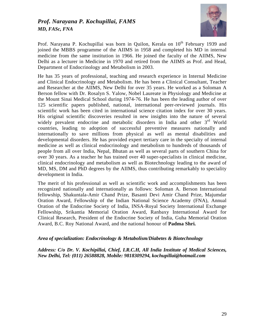# *Prof. Narayana P. Kochupillai, FAMS MD, FASc, FNA*



Prof. Narayana P. Kochupillai was born in Quilon, Kerala on  $10<sup>th</sup>$  February 1939 and joined the MBBS programme of the AIIMS in 1958 and completed his MD in internal medicine from the same institution in 1966. He joined the faculty of the AIIMS, New Delhi as a lecturer in Medicine in 1970 and retired from the AIIMS as Prof. and Head, Department of Endocrinology and Metabolism in 2003.

He has 35 years of professional, teaching and research experience in Internal Medicine and Clinical Endocrinology and Metabolism. He has been a Clinical Consultant, Teacher and Researcher at the AIIMS, New Delhi for over 35 years. He worked as a Soloman A Berson fellow with Dr. Rosalyn S. Yalow, Nobel Laureate in Physiology and Medicine at the Mount Sinai Medical School during 1974-76. He has been the leading author of over 125 scientific papers published, national, international peer-reviewed journals. His scientific work has been cited in international science citation index for over 30 years. His original scientific discoveries resulted in new insights into the nature of several widely prevalent endocrine and metabolic disorders in India and other 3<sup>rd</sup> World countries, leading to adoption of successful preventive measures nationally and internationally to save millions from physical as well as mental disabilities and developmental disorders. He has provided expert tertiary care in the specialty of internal medicine as well as clinical endocrinology and metabolism to hundreds of thousands of people from all over India, Nepal, Bhutan as well as several parts of southern China for over 30 years. As a teacher he has trained over 40 super-specialists in clinical medicine, clinical endocrinology and metabolism as well as Biotechnology leading to the award of MD, MS, DM and PhD degrees by the AIIMS, thus contributing remarkably to speciality development in India.

The merit of his professional as well as scientific work and accomplishments has been recognized nationally and internationally as follows: Soloman A. Berson International fellowship, Shakuntala-Amir Chand Prize, Basanti Devi Amir Chand Prize, Majumdar Oration Award, Fellowship of the Indian National Science Academy (FNA), Annual Oration of the Endocrine Society of India, INSA-Royal Society International Exchange Fellowship, Srikantia Memorial Oration Award, Ranbaxy International Award for Clinical Research, President of the Endocrine Society of India, Guha Memorial Oration Award, B.C. Roy National Award, and the national honour of **Padma Shri***.* 

#### *Area of specialization: Endocrinology & Metabolism/Diabetes & Biotechnology*

*Address: C/o Dr. V. Kochipillai, Chief, I.R.C.H, All India Institute of Medical Sciences, New Delhi, Tel: (011) 26588828, Mobile: 9818309294, kochupillai@hotmail.com*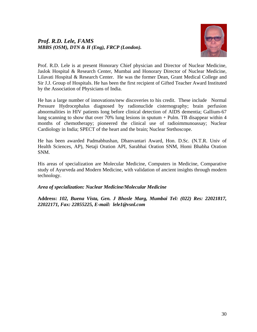# *Prof. R.D. Lele, FAMS MBBS (OSM), DTN & H (Eng), FRCP (London).*



Prof. R.D. Lele is at present Honorary Chief physician and Director of Nuclear Medicine, Jaslok Hospital & Research Center, Mumbai and Honorary Director of Nuclear Medicine, Lilavati Hospital & Research Center. He was the former Dean, Grant Medical College and Sir J.J. Group of Hospitals. He has been the first recipient of Gifted Teacher Award Instituted by the Association of Physicians of India.

He has a large number of innovations/new discoveries to his credit. These include Normal Pressure Hydrocephalus diagnosed by radionuclide cisternography; brain perfusion abnormalities in HIV patients long before clinical detection of AIDS dementia; Gallium-67 lung scanning to show that over 70% lung lesions in sputum  $+$  Pulm. TB disappear within 4 months of chemotherapy; pioneered the clinical use of radioimmunoassay; Nuclear Cardiology in India; SPECT of the heart and the brain; Nuclear Stethoscope.

He has been awarded Padmabhushan, Dhanvantari Award, Hon. D.Sc. (N.T.R. Univ of Health Sciences, AP), Netaji Oration API, Sarabhai Oration SNM, Homi Bhabha Oration SNM.

His areas of specialization are Molecular Medicine, Computers in Medicine, Comparative study of Ayurveda and Modern Medicine, with validation of ancient insights through modern technology.

# *Area of specialization: Nuclear Medicine/Molecular Medicine*

**Address:** *102, Buena Vista, Gen. J Bhosle Marg, Mumbai Tel: (022) Res: 22021817, 22022171, Fax: 22855225, E-mail: lele1@vsnl.com*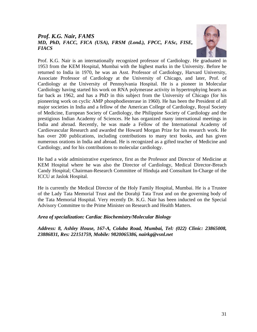# *Prof. K.G. Nair, FAMS MD, PhD, FACC, FICA (USA), FRSM (Lond.), FPCC, FASc, FISE, FIACS*



Prof. K.G. Nair is an internationally recognized professor of Cardiology. He graduated in 1953 from the KEM Hospital, Mumbai with the highest marks in the University. Before he returned to India in 1970, he was an Asst. Professor of Cardiology, Harvard University, Associate Professor of Cardiology at the University of Chicago, and later, Prof. of Cardiology at the University of Pennsylvania Hospital. He is a pioneer in Molecular Cardiology having started his work on RNA polymerase activity in hypertrophying hearts as far back as 1962, and has a PhD in this subject from the University of Chicago (for his pioneering work on cyclic AMP phosphodiesterase in 1960). He has been the President of all major societies in India and a fellow of the American College of Cardiology, Royal Society of Medicine, European Society of Cardiology, the Philippine Society of Cardiology and the prestigious Indian Academy of Sciences. He has organized many international meetings in India and abroad. Recently, he was made a Fellow of the International Academy of Cardiovascular Research and awarded the Howard Morgan Prize for his research work. He has over 200 publications, including contributions to many text books, and has given numerous orations in India and abroad. He is recognized as a gifted teacher of Medicine and Cardiology, and for his contributions to molecular cardiology.

He had a wide administrative experience, first as the Professor and Director of Medicine at KEM Hospital where he was also the Director of Cardiology, Medical Director-Breach Candy Hospital; Chairman-Research Committee of Hinduja and Consultant In-Charge of the ICCU at Jaslok Hospital.

He is currently the Medical Director of the Holy Family Hospital, Mumbai. He is a Trustee of the Lady Tata Memorial Trust and the Dorabji Tata Trust and on the governing body of the Tata Memorial Hospital. Very recently Dr. K.G. Nair has been inducted on the Special Advisory Committee to the Prime Minister on Research and Health Matters.

# *Area of specialization: Cardiac Biochemistry/Molecular Biology*

*Address: 8, Ashley House, 167-A, Colaba Road, Mumbai, Tel: (022) Clinic: 23865008, 23886831, Res: 22151759, Mobile: 9820065386, nairkg@vsnl.net*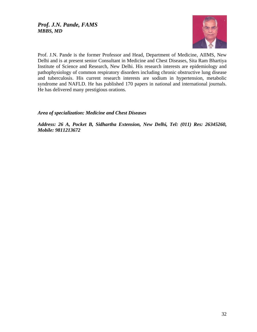

Prof. J.N. Pande is the former Professor and Head, Department of Medicine, AIIMS, New Delhi and is at present senior Consultant in Medicine and Chest Diseases, Sita Ram Bhartiya Institute of Science and Research, New Delhi. His research interests are epidemiology and pathophysiology of common respiratory disorders including chronic obstructive lung disease and tuberculosis. His current research interests are sodium in hypertension, metabolic syndrome and NAFLD. He has published 170 papers in national and international journals. He has delivered many prestigious orations.

*Area of specialization: Medicine and Chest Diseases* 

*Address: 26 A, Pocket B, Sidhartha Extension, New Delhi, Tel: (011) Res: 26345260, Mobile: 9811213672*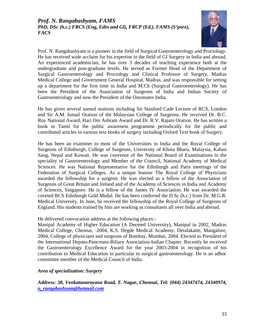# *Prof. N. Rangabashyam, FAMS PhD, DSc (h.c.) FRCS (Eng, Edin and Gl), FRCP (Ed.), FAMS (S'pore), FACS*



Prof. N. Rangabashyam is a pioneer in the field of Surgical Gastroenterology and Proctology. He has received wide acclaim for his expertise in the field of GI Surgery in India and abroad. An experienced academician, he has over 3 decades of teaching experience both at the undergraduate and post-graduate levels. He served as Former Head of the Department of Surgical Gastroenterology and Proctology and Clinical Professor of Surgery, Madras Medical College and Government General Hospital, Madras, and was responsible for setting up a department for the first time in India and M.Ch (Surgical Gastroenterology). He has been the President of the Association of Surgeons of India and Indian Society of Gastroenterology and now the President of the Ostomates India.

He has given several named orations including Sir Stanford Cade Lecture of RCS, London and Sir A.M. Ismail Oration of the Malaysian College of Surgeons. He received Dr. B.C. Roy National Award, Hari Om Ashram Award and Dr. R.V. Rajam Oration. He has written a book in Tamil for the public awareness programme periodically for the public and contributed articles in various text books of surgery including Oxford Text book of Surgery.

He has been an examiner to most of the Universities in India and the Royal College of Surgeons of Edinburgh, College of Surgeons, University of Khota Bharu, Malaysia, Kaban Sang, Nepal and Kuwait. He was convenor of the National Board of Examinations in the speciality of Gastroenterology and Member of the Council, National Academy of Medical Sciences. He was National Representative for the Edinburgh and Paris meetings of the Federation of Surgical Colleges. As a unique honour The Royal College of Physicians awarded the fellowship for a surgeon. He was elected as a fellow of the Association of Surgeons of Great Britain and Ireland and of the Academy of Sciences in India and Academy of Sciences, Singapore. He is a fellow of the James IV Association. He was awarded the coveted RCS Edinburgh Gold Medal. He has been conferred the D.Sc (h.c.) from Dr. M.G.R. Medical University. In June, he received the fellowship of the Royal College of Surgeons of England. His students trained by him are working as consultants all over India and abroad.

He delivered convocation address at the following places:-

Manipal Academy of Higher Education (A Deemed University), Manipal in 2002, Madras Medical College, Chennai, -2004, K.S. Hegde Medical Academy, Deralakatte, Mangalore, 2004, College of physicians and surgeons of Bombay, Mumbai, 2004. Elected as President of the International Hepato-Pancreato-Biliary Association-Indian Chapter. Recently he received the Gastroenterology Excellence Award for the year 2003-2004 in recognition of his contribution to Medical Education in particular to surgical gastroenterology. He is an adhoc committee member of the Medical Council of India.

# *Area of specialization: Surgery*

*Address: 38, Venkatanarayana Road, T. Nagar, Chennai, Tel: (044) 24347474, 24340974, [n\\_rangabashyam@hotmail.com](mailto:n_rangabashyam@hotmail.com)*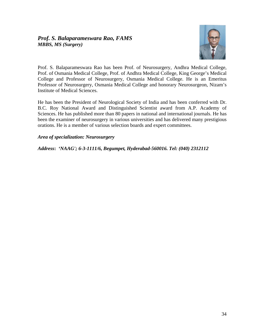

Prof. S. Balaparameswara Rao has been Prof. of Neurosurgery, Andhra Medical College, Prof. of Osmania Medical College, Prof. of Andhra Medical College, King George's Medical College and Professor of Neurosurgery, Osmania Medical College. He is an Emeritus Professor of Neurosurgery, Osmania Medical College and honorary Neurosurgeon, Nizam's Institute of Medical Sciences.

He has been the President of Neurological Society of India and has been conferred with Dr. B.C. Roy National Award and Distinguished Scientist award from A.P. Academy of Sciences. He has published more than 80 papers in national and international journals. He has been the examiner of neurosurgery in various universities and has delivered many prestigious orations. He is a member of various selection boards and expert committees.

# *Area of specialization: Neurosurgery*

*Address***:** *'NAAG'; 6-3-1111/6, Begumpet, Hyderabad-560016. Tel: (040) 2312112*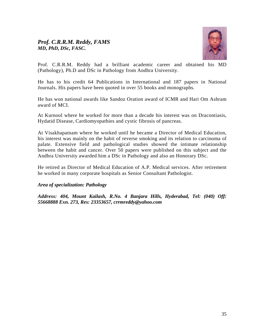# *Prof. C.R.R.M. Reddy, FAMS MD, PhD, DSc, FASC.*



Prof. C.R.R.M. Reddy had a brilliant academic career and obtained his MD (Pathology), Ph.D and DSc in Pathology from Andhra University.

He has to his credit 64 Publications in International and 187 papers in National Journals. His papers have been quoted in over 55 books and monographs.

He has won national awards like Sandoz Oration award of ICMR and Hari Om Ashram award of MCI.

At Kurnool where he worked for more than a decade his interest was on Dracontiasis, Hydatid Disease, Cardiomyopathies and cystic fibrosis of pancreas.

At Visakhapatnam where he worked until he became a Director of Medical Education, his interest was mainly on the habit of reverse smoking and its relation to carcinoma of palate. Extensive field and pathological studies showed the intimate relationship between the habit and cancer. Over 50 papers were published on this subject and the Andhra University awarded him a DSc in Pathology and also an Honorary DSc.

He retired as Director of Medical Education of A.P. Medical services. After retirement he worked in many corporate hospitals as Senior Consultant Pathologist.

#### *Area of specialization: Pathology*

*Address: 404, Mount Kailash, R.No. 4 Banjara Hills, Hyderabad, Tel: (040) Off: 55668888 Exn. 273, Res: 23353657, crrmreddy@yahoo.com*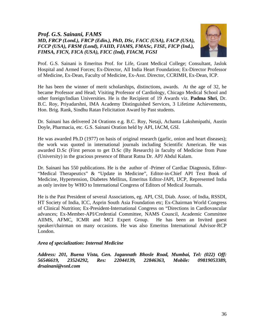# *Prof. G.S. Sainani, FAMS MD, FRCP (Lond.), FRCP (Edin.), PhD, DSc, FACC (USA), FACP (USA), FCCP (USA), FRSM (Lond), FAIID, FIAMS, FMASc, FISE, FICP (Ind.), FIMSA, FICN, FICA (USA), FICC (Ind), FIACM, FGSI*



Prof. G.S. Sainani is Emeritus Prof. for Life, Grant Medical College; Consultant, Jaslok Hospital and Armed Forces; Ex-Director, All India Heart Foundation; Ex-Director Professor of Medicine, Ex-Dean, Faculty of Medicine, Ex-Asst. Director, CCRIMH, Ex-Dean, ICP.

He has been the winner of merit scholarships, distinctions, awards. At the age of 32, he became Professor and Head; Visiting Professor of Cardiology, Chicago Medical School and other foreign/Indian Universities. He is the Recipient of 19 Awards viz. **Padma Shri**, Dr. B.C. Roy, Priyadarshni, IMA Academy Distinguished Services, 3 Lifetime Achievements, Hon. Brig. Rank, Sindhu Ratan Felicitation Award by Past students.

Dr. Sainani has delivered 24 Orations e.g. B.C. Roy, Netaji, Achanta Lakshmipathi, Austin Doyle, Pharmacia, etc. G.S. Sainani Oration held by API, IACM, GSI.

He was awarded Ph.D (1977) on basis of original research (garlic, onion and heart diseases); the work was quoted in international journals including Scientific American. He was awarded D.Sc (First person to get D.Sc (By Research) in faculty of Medicine from Pune (University) in the gracious presence of Bharat Ratna Dr. APJ Abdul Kalam.

Dr. Sainani has 550 publications. He is the author of -Primer of Cardiac Diagnosis, Editor- "Medical Therapeutics" & "Update in Medicine", Editor-in-Chief API Text Book of Medicine, Hypertension, Diabetes Mellitus, Emeritus Editor-JAPI, IJCP, Represented India as only invitee by WHO to International Congress of Editors of Medical Journals.

He is the Past President of several Associations, eg. API, CSI, Diab. Assoc. of India, RSSDI, HT Society of India, ICC, Asprin South Asia Foundation etc; Ex-Chairman World Congress of Clinical Nutrition; Ex-President-International Congress on "Directions in Cardiovascular advances; Ex-Member-API/Credential Committee, NAMS Council, Academic Committee AIIMS, AFMC, ICMR and MCI Expert Group. He has been an Invited guest speaker/chairman on many occasions. He was also Emeritus International Advisor-RCP London.

# *Area of specialization: Internal Medicine*

*Address: 201, Buena Vista, Gen. Jagannath Bhosle Road, Mumbai, Tel: (022) Off: 56546619, 23524292, Res: 22044139, 22846363, Mobile: 09819053389, drsainani@vsnl.com*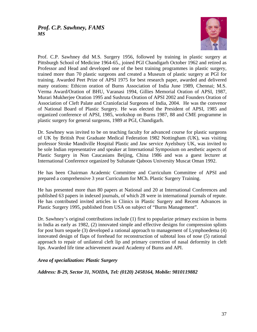

Prof. C.P. Sawhney did M.S. Surgery 1956, followed by training in plastic surgery at Pittsburgh School of Medicine 1964-65., joined PGI Chandigarh October 1962 and retired as Professor and Head and developed one of the best training programmes in plastic surgery, trained more than 70 plastic surgeons and created a Museum of plastic surgery at PGI for training. Awarded Peet Prize of APSI 1975 for best research paper, awarded and delivered many orations: Ethicon oration of Burns Association of India June 1989, Chennai; M.S. Verma Award/Oration of BHU, Varanasi 1994, Gillies Memorial Oration of APSI, 1987, Murari Mukherjee Oration 1995 and Sushruta Oration of APSI 2002 and Founders Oration of Association of Cleft Palate and Craniofacial Surgeons of India, 2004. He was the convenor of National Board of Plastic Surgery. He was elected the President of APSI, 1985 and organized conference of APSI, 1985, workshop on Burns 1987, 88 and CME programme in plastic surgery for general surgeons, 1989 at PGI, Chandigarh.

Dr. Sawhney was invited to be on teaching faculty for advanced course for plastic surgeons of UK by British Post Graduate Medical Federation 1982 Nottingham (UK), was visiting professor Stroke Mandiville Hospital Plastic and Jaw service Ayelsbury UK, was invited to be sole Indian representative and speaker at International Symposium on aesthetic aspects of Plastic Surgery in Non Caucasians Beijing, China 1986 and was a guest lecturer at International Conference organized by Sultanate Qaboos University Muscat Oman 1992.

He has been Chairman Academic Committee and Curriculum Committee of APSI and prepared a comprehensive 3 year Curriculum for MCh. Plastic Surgery Training.

He has presented more than 80 papers at National and 20 at International Conferences and published 63 papers in indexed journals, of which 28 were in international journals of repute. He has contributed invited articles in Clinics in Plastic Surgery and Recent Advances in Plastic Surgery 1995, published from USA on subject of "Burns Management".

Dr. Sawhney's original contributions include (1) first to popularize primary excision in burns in India as early as 1982, (2) innovated simple and effective designs for compression splints for post burn sequele (3) developed a rational approach to management of Lymphoedema (4) innovated design of flaps of forehead for reconstruction of subtotal loss of nose (5) rational approach to repair of unilateral cleft lip and primary correction of nasal deformity in cleft lips. Awarded life time achievement award Academy of Burns and API.

# *Area of specialization: Plastic Surgery*

*Address: B-29, Sector 31, NOIDA, Tel: (0120) 2458164, Mobile: 9810119882*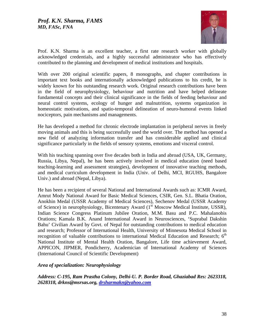

Prof. K.N. Sharma is an excellent teacher, a first rate research worker with globally acknowledged credentials, and a highly successful administrator who has effectively contributed to the planning and development of medical institutions and hospitals.

With over 200 original scientific papers, 8 monographs, and chapter contributions in important text books and internationally acknowledged publications to his credit, he is widely known for his outstanding research work. Original research contributions have been in the field of neurophysiology, behaviour and nutrition and have helped delineate fundamental concepts and their clinical significance in the fields of feeding behaviour and neural control systems, ecology of hunger and malnutrition, systems organization in homeostatic motivations, and spatio-temporal delineation of neuro-humoral events linked nociceptors, pain mechanisms and managements.

He has developed a method for chronic electrode implantation in peripheral nerves in freely moving animals and this is being successfully used the world over. The method has opened a new field of analyzing information transfer and has considerable applied and clinical significance particularly in the fields of sensory systems, emotions and visceral control.

With his teaching spanning over five decades both in India and abroad (USA, UK, Germany, Russia, Libya, Nepal), he has been actively involved in medical education (need based teaching-learning and assessment strategies), development of innovative teaching methods, and medical curriculum development in India (Univ. of Delhi, MCI, RGUHS, Bangalore Univ.) and abroad (Nepal, Libya).

He has been a recipient of several National and International Awards such as: ICMR Award, Amrut Mody National Award for Basic Medical Sciences, CSIR, Gen. S.L. Bhatia Oration, Anokhin Medal (USSR Academy of Medical Sciences), Sechenov Medal (USSR Academy of Science) in neurophysiology, Bicentenary Award (1<sup>st</sup> Moscow Medical Institute, USSR), Indian Science Congress Platinum Jubilee Oration, M.M. Basu and P.C. Mahalanobis Orations; Kamala B.K. Anand International Award in Neurosciences, 'Suprabal Dakshin Bahu' Civilian Award by Govt. of Nepal for outstanding contributions to medical education and research; Professor of International Health, University of Minnesota Medical School in recognition of valuable contributions to international Medical Education and Research;  $6<sup>th</sup>$ National Institute of Mental Health Oration, Bangalore, Life time achievement Award, APPICON, JIPMER, Pondicherry, Academician of International Academy of Sciences (International Council of Scientific Development)

#### *Area of specialization: Neurophysiology*

*Address: C-195, Ram Prastha Colony, Delhi-U. P. Border Road, Ghaziabad Res: 2623318, 2628318, drkns@msrsas.org, [drsharmakn@yahoo.com](mailto:drsharmakn@yahoo.com)*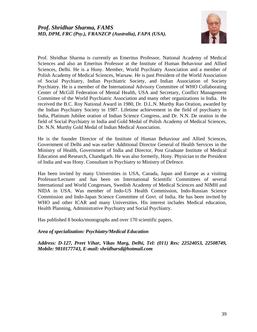

Prof. Shridhar Sharma is currently an Emeritus Professor, National Academy of Medical Sciences and also an Emeritus Professor at the Institute of Human Behaviour and Allied Sciences, Delhi. He is a Hony. Member, World Psychiatry Association and a member of Polish Academy of Medical Sciences, Warsaw. He is past President of the World Association of Social Psychiatry, Indian Psychiatric Society, and Indian Association of Society Psychiatry. He is a member of the International Advisory Committee of WHO Collaborating Center of McGill Federation of Mental Health, USA and Secretary, Conflict Management Committee of the World Psychiatric Association and many other organizations in India. He received the B.C. Roy National Award in 1980, Dr. D.L.N. Murthy Rao Oration, awarded by the Indian Psychiatry Society in 1987. Lifetime achievement in the field of psychiatry in India, Platinum Jubilee oration of Indian Science Congress, and Dr. N.N. De oration in the field of Social Psychiatry in India and Gold Medal of Polish Academy of Medical Sciences, Dr. N.N. Murthy Gold Medal of Indian Medical Association.

He is the founder Director of the Institute of Human Behaviour and Allied Sciences, Government of Delhi and was earlier Additional Director General of Health Services in the Ministry of Health, Government of India and Director, Post Graduate Institute of Medical Education and Research, Chandigarh. He was also formerly, Hony. Physician to the President of India and was Hony. Consultant in Psychiatry to Ministry of Defence.

Has been invited by many Universities in USA, Canada, Japan and Europe as a visiting Professor/Lecturer and has been on International Scientific Committees of several International and World Congresses, Swedish Academy of Medical Sciences and NIMH and NIDA in USA. Was member of Indo-US Health Commission, Indo-Russian Science Commission and Indo-Japan Science Committee of Govt. of India. He has been invited by WHO and other ICAR and many Universities. His interest includes Medical education, Health Planning, Administrative Psychiatry and Social Psychiatry.

Has published 8 books/monographs and over 170 scientific papers.

# *Area of specialization: Psychiatry/Medical Education*

*Address: D-127, Preet Vihar, Vikas Marg, Delhi, Tel: (011) Res: 22524053, 22508749, Mobile: 9810177743, E-mail: shridharsd@hotmail.com*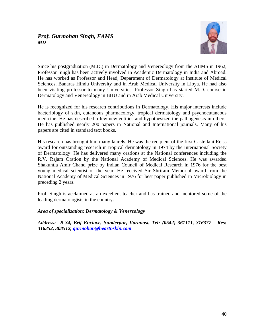# *Prof. Gurmohan Singh, FAMS MD*



Since his postgraduation (M.D.) in Dermatology and Venereology from the AIIMS in 1962, Professor Singh has been actively involved in Academic Dermatology in India and Abroad. He has worked as Professor and Head, Department of Dermatology at Institute of Medical Sciences, Banaras Hindu University and in Arab Medical University in Libya. He had also been visiting professor to many Universities. Professor Singh has started M.D. course in Dermatology and Venereology in BHU and in Arab Medical University.

He is recognized for his research contributions in Dermatology. His major interests include bacteriology of skin, cutaneous pharmacology, tropical dermatology and psychocutaneous medicine. He has described a few new entities and hypothesized the pathogenesis in others. He has published nearly 200 papers in National and International journals. Many of his papers are cited in standard text books.

His research has brought him many laurels. He was the recipient of the first Castellani Reiss award for outstanding research in tropical dermatology in 1974 by the International Society of Dermatology. He has delivered many orations at the National conferences including the R.V. Rajam Oration by the National Academy of Medical Sciences. He was awarded Shakuntla Amir Chand prize by Indian Council of Medical Research in 1976 for the best young medical scientist of the year. He received Sir Shriram Memorial award from the National Academy of Medical Sciences in 1976 for best paper published in Microbiology in preceding 2 years.

Prof. Singh is acclaimed as an excellent teacher and has trained and mentored some of the leading dermatologists in the country.

# *Area of specialization: Dermatology & Venereology*

*Address: B-34, Brij Enclave, Sunderpur, Varanasi, Tel: (0542) 361111, 316377 Res: 316352, 308512, [gurmohan@heartnskin.com](mailto:gurmohan@heartnskin.com)*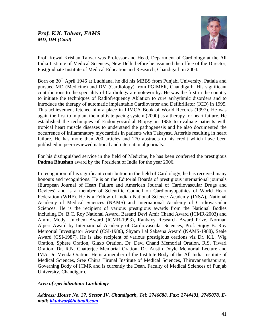

Prof. Kewal Krishan Talwar was Professor and Head, Department of Cardiology at the All India Institute of Medical Sciences, New Delhi before he assumed the office of the Director, Postgraduate Institute of Medical Education and Research, Chandigarh in 2004.

Born on 30<sup>th</sup> April 1946 at Ludhiana, he did his MBBS from Punjabi University, Patiala and pursued MD (Medicine) and DM (Cardiology) from PGIMER, Chandigarh. His significant contributions to the speciality of Cardiology are noteworthy. He was the first in the country to initiate the techniques of Radiofrequency Ablation to cure arrhythmic disorders and to introduce the therapy of automatic implantable Cardioverter and Defibrillator (ICD) in 1995. This achievement fetched him a place in LIMCA Book of World Records (1997). He was again the first to implant the multisite pacing system (2000) as a therapy for heart failure. He established the techniques of Endomyocardial Biopsy in 1986 to evaluate patients with tropical heart muscle diseases to understand the pathogenesis and he also documented the occurrence of inflammatory myocarditis in patients with Takayasu Arteritis resulting in heart failure. He has more than 200 articles and 270 abstracts to his credit which have been published in peer-reviewed national and international journals.

For his distinguished service in the field of Medicine, he has been conferred the prestigious **Padma Bhushan** award by the President of India for the year 2006.

In recognition of his significant contribution in the field of Cardiology, he has received many honours and recognitions. He is on the Editorial Boards of prestigious international journals (European Journal of Heart Failure and American Journal of Cardiovascular Drugs and Devices) and is a member of Scientific Council on Cardiomyopathies of World Heart Federation (WHF). He is a Fellow of Indian National Science Academy (INSA), National Academy of Medical Sciences (NAMS) and International Academy of Cardiovascular Sciences. He is the recipient of various prestigious awards from the National Bodies including Dr. B.C. Roy National Award, Basanti Devi Amir Chand Award (ICMR-2003) and Amrut Mody Unichem Award (ICMR-1993), Ranbaxy Research Award Prize, Norman Alpert Award by International Academy of Cardiovascular Sciences, Prof. Sujoy B. Roy Memorial Investigator Award (CSI-1986), Shyam Lal Saksena Award (NAMS-1988), Seale Award (CSI-1987). He is also recipient of various prestigious orations viz Dr. K.L. Wig Oration, Sphere Oration, Glaxo Oration, Dr. Devi Chand Memorial Oration, R.S. Tiwari Oration, Dr. R.N. Chatterjee Memorial Oration, Dr. Austin Doyle Memorial Lecture and IMA Dr. Menda Oration. He is a member of the Institute Body of the All India Institute of Medical Sciences, Sree Chitra Tirunal Institute of Medical Sciences, Thiruvananthapuram, Governing Body of ICMR and is currently the Dean, Faculty of Medical Sciences of Punjab University, Chandigarh.

# *Area of specialization: Cardiology*

*Address: House No. 37, Sector IV, Chandigarh, Tel: 2746688, Fax: 2744401, 2745078, Email: [kktalwar@hotmail.com](mailto:kktalwar@hotmail.com)*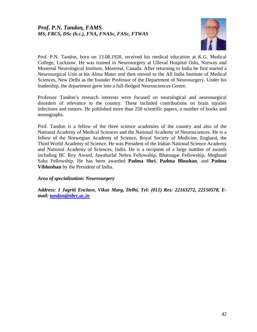

Prof. P.N. Tandon, born on 13.08.1928, received his medical education at K.G. Medical College, Lucknow. He was trained in Neurosurgery at Ulleval Hospital Oslo, Norway and Montreal Neurological Institute, Montreal, Canada. After returning to India he first started a Neurosurgical Unit at his Alma Mater and then moved to the All India Institute of Medical Sciences, New Delhi as the founder Professor of the Department of Neurosurgery. Under his leadership, the department grew into a full-fledged Neurosciences Centre.

Professor Tandon's research interests were focused on neurological and neurosurgical disorders of relevance to the country. These included contributions on brain injuries infections and tumors. He published more than 250 scientific papers, a number of books and monographs.

Prof. Tandon is a fellow of the three science academies of the country and also of the National Academy of Medical Sciences and the National Academy of Neurosciences. He is a fellow of the Norwegian Academy of Science, Royal Society of Medicine, England, the Third World Academy of Science. He was President of the Indian National Science Academy and National Academy of Sciences, India. He is a recipient of a large number of awards including BC Roy Award, Jawaharlal Nehru Fellowship, Bhatnagar Fellowship, Meghnad Saha Fellowship. He has been awarded **Padma Shri**, **Padma Bhushan**, and **Padma Vibhushan** by the President of India.

# *Area of specialization: Neurosurgery*

*Address: 1 Jagriti Enclave, Vikas Marg, Delhi, Tel: (011) Res: 22163272, 22150578, Email: [tandon@nbrc.ac.in](mailto:tandon@nbrc.ac.in)*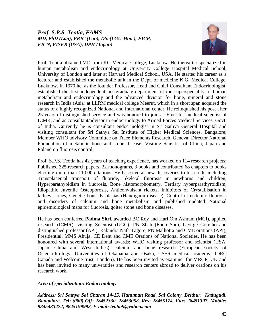# *Prof. S.P.S. Teotia, FAMS MD, PhD (Lon), FRIC (Lon), DSc(LGU-Hon.), FICP, FICN, FISFR (USA), DPH (Japan)*



Prof. Teotia obtained MD from KG Medical College, Lucknow. He thereafter specialized in human metabolism and endocrinology at University College Hospital Medical School, University of London and later at Harvard Medical School, USA. He started his career as a lecturer and established the metabolic unit in the Dept. of medicine K.G. Medical College, Lucknow. In 1970 he, as the founder Professor, Head and Chief Consultant Endocrinologist, established the first independent postgraduate department of the superspeciality of human metabolism and endocrinology and the advanced division for bone, mineral and stone research in India (Asia) at LLRM medical college Meerut, which in a short span acquired the status of a highly recognized National and International center. He relinquished his post after 25 years of distinguished service and was honored to join as Emeritus medical scientist of ICMR, and as consultant/advisor in endocrinology to Armed Forces Medical Services, Govt. of India. Currently he is consultant endocrinologist in Sri Sathya General Hospital and visiting consultant for Sri Sathya Sai Institute of Higher Medical Sciences, Bangalore; Member WHO advisory Committee on Trace Elements Research, Geneva; Director National Foundation of metabolic bone and stone disease; Visiting Scientist of China, Japan and Poland on fluorosis control.

Prof. S.P.S. Teotia has 42 years of teaching experience, has worked on 114 research projects; Published 325 research papers, 22 monograms, 3 books and contributed 68 chapters to books eliciting more than 11,000 citations. He has several new discoveries to his credit including Transplacental transport of fluoride, Skeletal fluorosis in newborns and children, Hyperparathyoidism in fluorosis, Bone histomorphometry, Tertiary hyperparathyroidism, Idiopathic Juvenile Osteoporosis, Anticonvulsant rickets, Inhibitors of Crystallisation in kidney stones, Genetic bone dysplasias (Handigodu disease), Control of endemic fluorosis and disorders of calcium and bone metabolism and published updated National epidemiological maps for fluorosis, goiter stone and bone diseases.

He has been conferred **Padma Shri**, awarded BC Roy and Hari Om Ashram (MCI), applied research (ICMR), visiting Scientist (UGC), PN Shah (Endo Soc), George Corelho and distinguished professor (API); Rabindra Nath Tagore, PN Malhotra and CME orations (API), Presidential, MMS Ahuja, CE Dent and CME Orations of National Societies. He has been honoured with several international awards: WHO visiting professor and scientist (USA, Japan, China and West Indies); calcium and bone research (European society of Osteoarthrology, Universities of Okahama and Osaka, USSR medical academy, IDRC Canada and Welcome trust, London). He has been invited as examiner for MRCP, UK and has been invited to many universities and research centers abroad to deliver orations on his research work.

# *Area of specialization: Endocrinology*

*Address: Sri Sathya Sai Charan 14-15, Hanuman Road, Sai Colony, Belthur, Kadugudi, Bangalore, Tel: (080) Off: 28452330, 28453058, Res: 28455174, Fax: 28451397, Mobile: 9845433472, 9845199992, E-mail: teotia9@yahoo.com*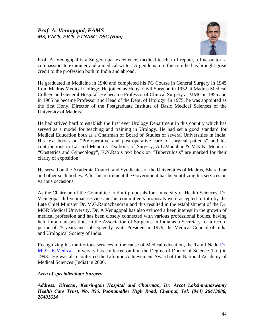

Prof. A. Venugopal is a Surgeon par excellence, medical teacher of repute, a fine orator, a compassionate examiner and a medical writer. A gentleman to the core he has brought great credit to the profession both in India and abroad.

He graduated in Medicine in 1940 and completed his PG Course in General Surgery in 1945 from Madras Medical College. He joined as Hony. Civil Surgeon in 1952 at Madras Medical College and General Hospital. He became Professor of Clinical Surgery at MMC in 1955 and in 1965 he became Professor and Head of the Dept. of Urology. In 1975, he was appointed as the first Hony. Director of the Postgraduate Institute of Basic Medical Sciences of the University of Madras.

He had strived hard to establish the first ever Urology Department in this country which has served as a model for teaching and training in Urology. He had set a good standard for Medical Education both as a Chairman of Board of Studies of several Universities in India. His text books on "Pre-operative and post-operative care of surgical patients" and his contributions to Lal and Menon's Textbook of Surgery, A.L.Mudaliar & M.K.K. Menon's "Obstetrics and Gynecology", K.N.Rao's text book on "Tuberculosis" are marked for their clarity of exposition.

He served on the Academic Council and Syndicates of the Universities of Madras, Bharathiar and other such bodies. After his retirement the Government has been utilizing his services on various occasions.

As the Chairman of the Committee to draft proposals for University of Health Sciences, Dr. Venugopal did yeoman service and his committee's proposals were accepted in toto by the Late Chief Minister Dr. M.G.Ramachandran and this resulted in the establishment of the Dr. MGR Medical University. Dr. A Venugopal has also evinced a keen interest in the growth of medical profession and has been closely connected with various professional bodies, having held important positions in the Association of Surgeons in India as a Secretary for a record period of 25 years and subsequently as its President in 1979, the Medical Council of India and Urological Society of India.

Recognizing his meritorious services to the cause of Medical education, the Tamil Nadu [Dr.](http://dr.m.g.r.iiedical/)  [M. G. R.Medical](http://dr.m.g.r.iiedical/) University has conferred on him the Degree of Doctor of Science (h.c.) in 1993. He was also conferred the Lifetime Achievement Award of the National Academy of Medical Sciences (India) in 2006.

# *Area of specialization: Surgery*

*Address: Director, Kensington Hospital and Chairman, Dr. Arcot Lakshmanaswamy Health Care Trust, No. 856, Poonamallee High Road, Chennai, Tel: (044) 26413086, 26401614*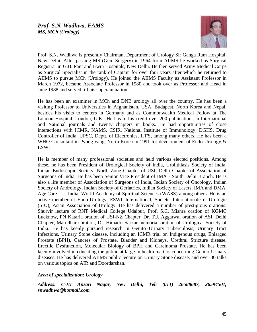

Prof. S.N. Wadhwa is presently Chairman, Department of Urology Sir Ganga Ram Hospital, New Delhi. After passing MS (Gen. Surgery) in 1964 from AIIMS he worked as Surgical Registrar in G.B. Pant and Irwin Hospitals, New Delhi. He then served Army Medical Corps as Surgical Specialist in the rank of Captain for over four years after which he returned to AIIMS to pursue MCh (Urology). He joined the AIIMS Faculty as Assistant Professor in March 1972, became Associate Professor in 1980 and took over as Professor and Head in June 1988 and served till his superannuation.

He has been an examiner in MCh and DNB urology all over the country. He has been a visiting Professor to Universities in Afghanistan, USA, Budapest, North Korea and Nepal, besides his visits to centers in Germany and as Commonwealth Medical Fellow at The London Hospital, London, U.K.. He has to his credit over 200 publications in International and National journals and twenty chapters in books. He had opportunities of close interactions with ICMR, NAMS, CSIR, National Institute of Immunology, DGHS, Drug Controller of India, UPSC, Deptt. of Electronics, IIT'S, among many others. He has been a WHO Consultant in Pyong-yang, North Korea in 1991 for development of Endo-Urology & ESWL.

He is member of many professional societies and held various elected positions. Among these, he has been President of Urological Society of India, Urolithiasis Society of India, Indian Endoscopic Society, North Zone Chapter of USI, Delhi Chapter of Association of Surgeons of India. He has been Senior Vice President of IMA - South Delhi Branch. He is also a life member of Association of Surgeons of India, Indian Society of Oncology, Indian Society of Andrology, Indian Society of Geriatrics, Indian Society of Lasers, IMA and DMA, Age Care - India, World Academy of Spiritual Sciences (WASS) among others. He is an active member of Endo-Urology, ESWL-International, Societe' Internationale d' Urologie (SIU), Asian Association of Urology. He has delivered a number of prestigious orations: Shurvir lecture of RNT Medical College Udaipur, Prof. S.C. Mishra oration of KGMC Lucknow, PN Kataria oration of USI-NZ Chapter, Dr. T.J. Aggarwal oration of ASI, Delhi Chapter, Marudhara oration, Dr. Himadri Sarkar memorial oration of Urological Society of India. He has keenly pursued research in Genito Urinary Tuberculosis, Urinary Tract Infections, Urinary Stone disease, including an ICMR trial on Indigenous drugs, Enlarged Prostate (BPH), Cancers of Prostate, Bladder and Kidneys, Urethral Stricture disease, Erectile Dysfunction, Molecular Biology of BPH and Carcinoma Prostate. He has been keenly involved in educating the public at large in health matters concerning Genito-Urinary diseases. He has delivered AIIMS public lecture on Urinary Stone disease, and over 30 talks on various topics on AIR and Doordarshan.

#### *Area of specialization: Urology*

*Address: C-I/1 Ansari Nagar, New Delhi, Tel: (011) 26588687, 26594501, snwadhwa@hotmail.com*